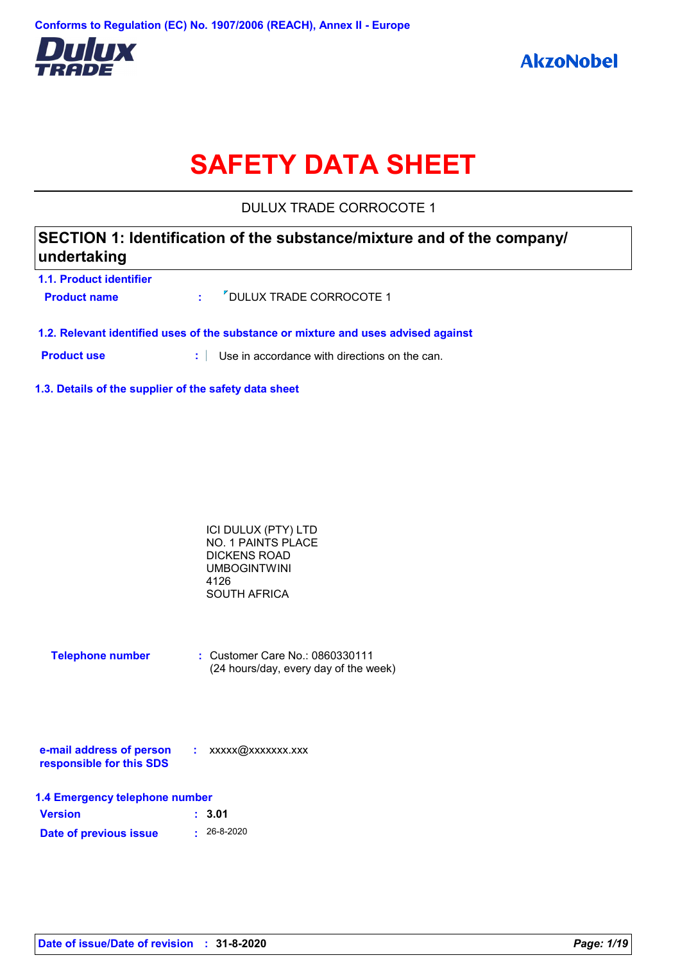

# **SAFETY DATA SHEET**

DULUX TRADE CORROCOTE 1

| SECTION 1: Identification of the substance/mixture and of the company/ |  |
|------------------------------------------------------------------------|--|
| undertaking                                                            |  |
|                                                                        |  |

| 1.1. Product identifier |                              |
|-------------------------|------------------------------|
| <b>Product name</b>     | : // DULUX TRADE CORROCOTE 1 |
|                         |                              |

**1.2. Relevant identified uses of the substance or mixture and uses advised against**

**Product use :** Use in accordance with directions on the can.

**1.3. Details of the supplier of the safety data sheet**

| ICI DULUX (PTY) LTD |  |
|---------------------|--|
| NO. 1 PAINTS PLACE  |  |
| DICKENS ROAD        |  |
| <b>UMBOGINTWINI</b> |  |
| 4126                |  |
| SOUTH AFRICA        |  |

| <b>Telephone number</b> | $\therefore$ Customer Care No.: 0860330111 |
|-------------------------|--------------------------------------------|
|                         | (24 hours/day, every day of the week)      |

| e-mail address of person | xxxxx@xxxxxxx.xxx |
|--------------------------|-------------------|
| responsible for this SDS |                   |

| 1.4 Emergency telephone number |                   |  |  |  |
|--------------------------------|-------------------|--|--|--|
| <b>Version</b>                 | : 3.01            |  |  |  |
| Date of previous issue         | $\cdot$ 26-8-2020 |  |  |  |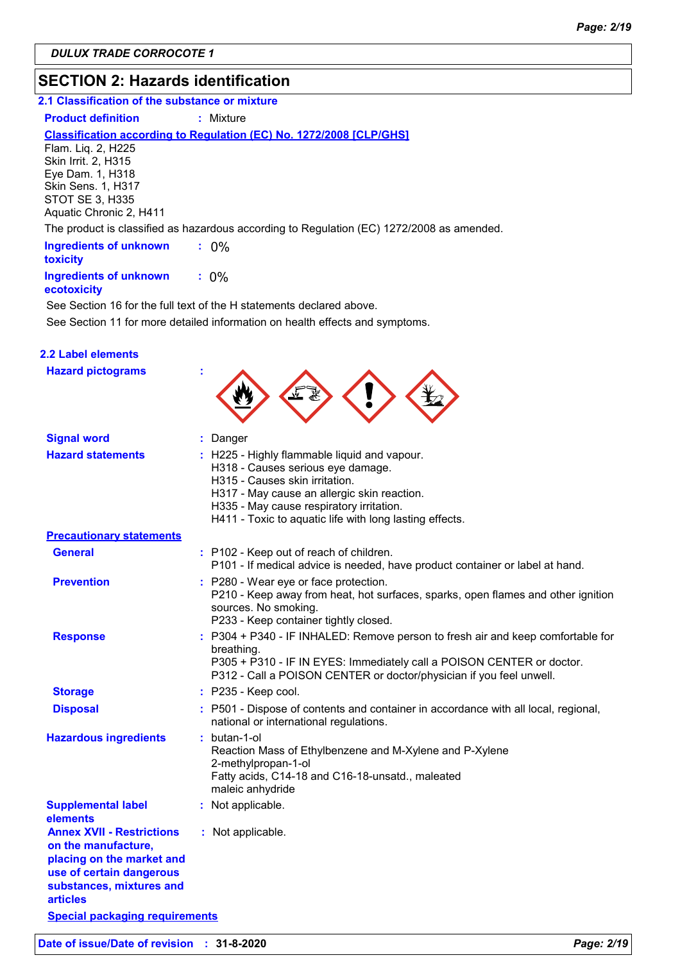# **SECTION 2: Hazards identification**

#### **2.1 Classification of the substance or mixture**

#### **Product definition : Mixture**

#### **Classification according to Regulation (EC) No. 1272/2008 [CLP/GHS]**

Flam. Liq. 2, H225 Skin Irrit. 2, H315 Eye Dam. 1, H318 Skin Sens. 1, H317 STOT SE 3, H335 Aquatic Chronic 2, H411

The product is classified as hazardous according to Regulation (EC) 1272/2008 as amended.

| <b>Ingredients of unknown</b><br>toxicity    |         |
|----------------------------------------------|---------|
| <b>Ingredients of unknown</b><br>ecotoxicity | $: 0\%$ |

See Section 11 for more detailed information on health effects and symptoms. See Section 16 for the full text of the H statements declared above.

| 2.2 Label elements                  |
|-------------------------------------|
| والمستحدث والمتعارف المستحدث والراز |

| <b>Hazard pictograms</b>                                                                                                                                 |                                                                                                                                                                                                                                                                         |
|----------------------------------------------------------------------------------------------------------------------------------------------------------|-------------------------------------------------------------------------------------------------------------------------------------------------------------------------------------------------------------------------------------------------------------------------|
| <b>Signal word</b>                                                                                                                                       | Danger<br>÷.                                                                                                                                                                                                                                                            |
| <b>Hazard statements</b>                                                                                                                                 | H225 - Highly flammable liquid and vapour.<br>H318 - Causes serious eye damage.<br>H315 - Causes skin irritation.<br>H317 - May cause an allergic skin reaction.<br>H335 - May cause respiratory irritation.<br>H411 - Toxic to aquatic life with long lasting effects. |
| <b>Precautionary statements</b>                                                                                                                          |                                                                                                                                                                                                                                                                         |
| <b>General</b>                                                                                                                                           | : P102 - Keep out of reach of children.<br>P101 - If medical advice is needed, have product container or label at hand.                                                                                                                                                 |
| <b>Prevention</b>                                                                                                                                        | : P280 - Wear eye or face protection.<br>P210 - Keep away from heat, hot surfaces, sparks, open flames and other ignition<br>sources. No smoking.<br>P233 - Keep container tightly closed.                                                                              |
| <b>Response</b>                                                                                                                                          | : P304 + P340 - IF INHALED: Remove person to fresh air and keep comfortable for<br>breathing.<br>P305 + P310 - IF IN EYES: Immediately call a POISON CENTER or doctor.<br>P312 - Call a POISON CENTER or doctor/physician if you feel unwell.                           |
| <b>Storage</b>                                                                                                                                           | $:$ P235 - Keep cool.                                                                                                                                                                                                                                                   |
| <b>Disposal</b>                                                                                                                                          | : P501 - Dispose of contents and container in accordance with all local, regional,<br>national or international regulations.                                                                                                                                            |
| <b>Hazardous ingredients</b>                                                                                                                             | butan-1-ol<br>Reaction Mass of Ethylbenzene and M-Xylene and P-Xylene<br>2-methylpropan-1-ol<br>Fatty acids, C14-18 and C16-18-unsatd., maleated<br>maleic anhydride                                                                                                    |
| <b>Supplemental label</b><br>elements                                                                                                                    | : Not applicable.                                                                                                                                                                                                                                                       |
| <b>Annex XVII - Restrictions</b><br>on the manufacture,<br>placing on the market and<br>use of certain dangerous<br>substances, mixtures and<br>articles | : Not applicable.                                                                                                                                                                                                                                                       |
| <b>Special packaging requirements</b>                                                                                                                    |                                                                                                                                                                                                                                                                         |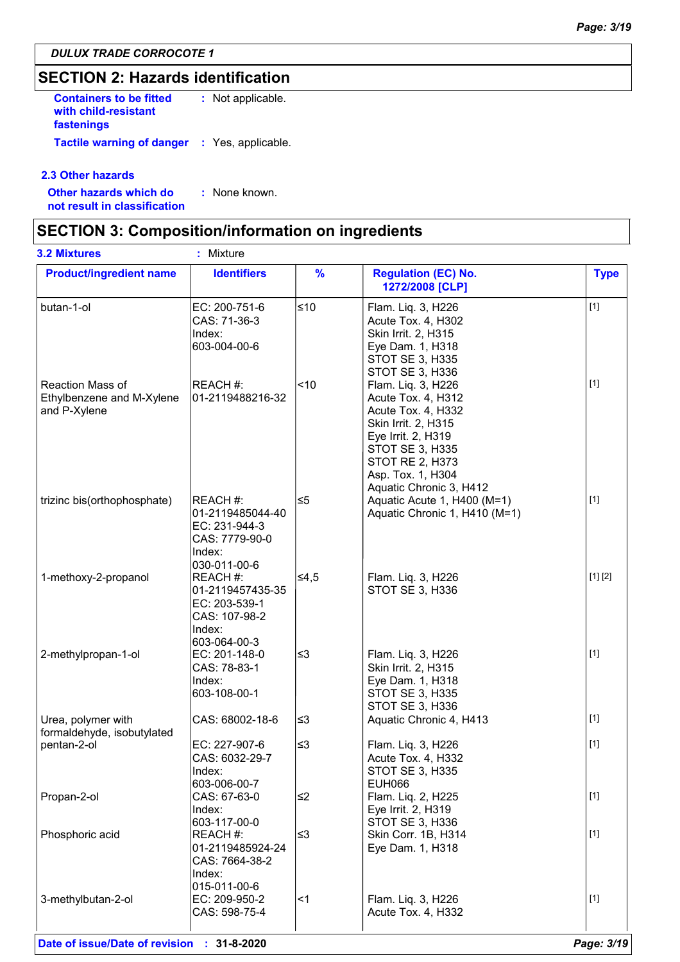# **SECTION 2: Hazards identification**

**Containers to be fitted with child-resistant fastenings :** Not applicable. **Tactile warning of danger :** Yes, applicable.

#### **2.3 Other hazards**

**Other hazards which do : not result in classification** : None known.

### **SECTION 3: Composition/information on ingredients**

| <b>3.2 Mixtures</b>                                           | : Mixture                                                                                 |               |                                                                                                                                                                                                   |             |
|---------------------------------------------------------------|-------------------------------------------------------------------------------------------|---------------|---------------------------------------------------------------------------------------------------------------------------------------------------------------------------------------------------|-------------|
| <b>Product/ingredient name</b>                                | <b>Identifiers</b>                                                                        | $\frac{9}{6}$ | <b>Regulation (EC) No.</b><br>1272/2008 [CLP]                                                                                                                                                     | <b>Type</b> |
| butan-1-ol                                                    | EC: 200-751-6<br>CAS: 71-36-3<br>Index:<br>603-004-00-6                                   | ≤10           | Flam. Liq. 3, H226<br>Acute Tox. 4, H302<br>Skin Irrit. 2, H315<br>Eye Dam. 1, H318<br><b>STOT SE 3, H335</b><br>STOT SE 3, H336                                                                  | $[1]$       |
| Reaction Mass of<br>Ethylbenzene and M-Xylene<br>and P-Xylene | REACH #:<br>01-2119488216-32                                                              | ~10           | Flam. Liq. 3, H226<br>Acute Tox. 4, H312<br>Acute Tox. 4, H332<br>Skin Irrit. 2, H315<br>Eye Irrit. 2, H319<br>STOT SE 3, H335<br>STOT RE 2, H373<br>Asp. Tox. 1, H304<br>Aquatic Chronic 3, H412 | $[1]$       |
| trizinc bis(orthophosphate)                                   | REACH #:<br>01-2119485044-40<br>EC: 231-944-3<br>CAS: 7779-90-0<br>Index:<br>030-011-00-6 | ≤5            | Aquatic Acute 1, H400 (M=1)<br>Aquatic Chronic 1, H410 (M=1)                                                                                                                                      | $[1]$       |
| 1-methoxy-2-propanol                                          | REACH #:<br>01-2119457435-35<br>EC: 203-539-1<br>CAS: 107-98-2<br>Index:<br>603-064-00-3  | ∣≤4,5         | Flam. Liq. 3, H226<br>STOT SE 3, H336                                                                                                                                                             | [1] [2]     |
| 2-methylpropan-1-ol                                           | EC: 201-148-0<br>CAS: 78-83-1<br>Index:<br>603-108-00-1                                   | ∣≤3           | Flam. Liq. 3, H226<br>Skin Irrit. 2, H315<br>Eye Dam. 1, H318<br><b>STOT SE 3, H335</b><br>STOT SE 3, H336                                                                                        | $[1]$       |
| Urea, polymer with<br>formaldehyde, isobutylated              | CAS: 68002-18-6                                                                           | ≤3            | Aquatic Chronic 4, H413                                                                                                                                                                           | $[1]$       |
| pentan-2-ol                                                   | EC: 227-907-6<br>CAS: 6032-29-7<br>Index:<br>603-006-00-7                                 | ≤3            | Flam. Liq. 3, H226<br>Acute Tox. 4, H332<br><b>STOT SE 3, H335</b><br><b>EUH066</b>                                                                                                               | $[1]$       |
| Propan-2-ol                                                   | CAS: 67-63-0<br>Index:                                                                    | ∣≤2           | Flam. Liq. 2, H225<br>Eye Irrit. 2, H319                                                                                                                                                          | $[1]$       |
| Phosphoric acid                                               | 603-117-00-0<br>REACH #:<br>01-2119485924-24<br>CAS: 7664-38-2<br>Index:<br>015-011-00-6  | ∣≤3           | STOT SE 3, H336<br>Skin Corr. 1B, H314<br>Eye Dam. 1, H318                                                                                                                                        | $[1]$       |
| 3-methylbutan-2-ol                                            | EC: 209-950-2<br>CAS: 598-75-4                                                            | $\leq$ 1      | Flam. Liq. 3, H226<br>Acute Tox. 4, H332                                                                                                                                                          | $[1]$       |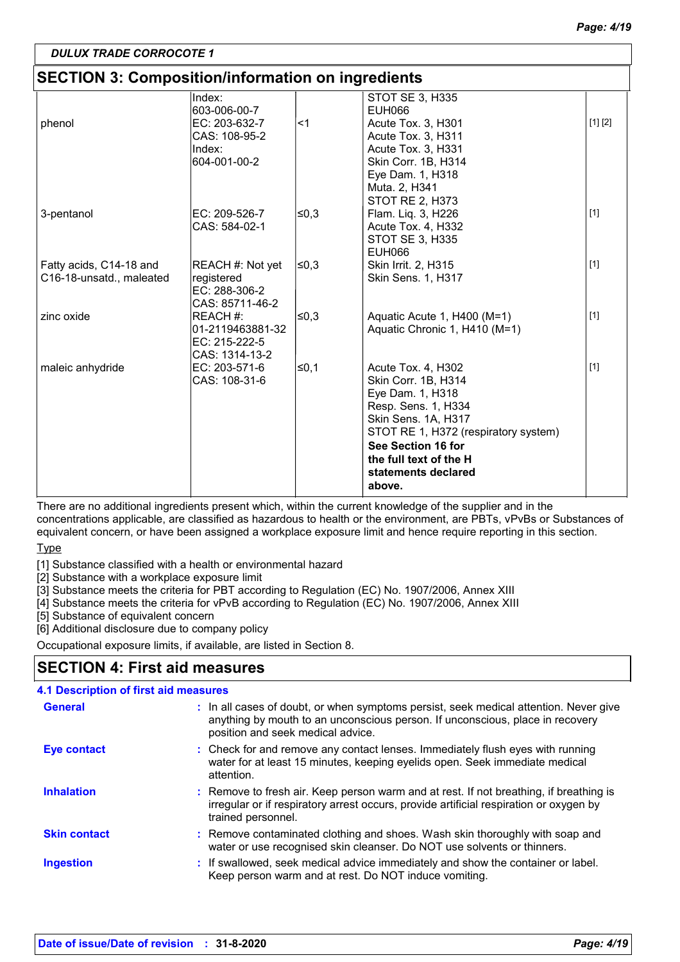[1]

# *DULUX TRADE CORROCOTE 1*

#### **SECTION 3: Composition/information on ingredients** Index: 603-006-00-7 STOT SE 3, H335 EUH066 phenol **EC:** 203-632-7 **2018** CAS: 108-95-2 Index: 604-001-00-2 Acute Tox. 3, H301 Acute Tox. 3, H311 Acute Tox. 3, H331 Skin Corr. 1B, H314 Eye Dam. 1, H318 Muta. 2, H341 STOT RE 2, H373 [1] [2] 3-pentanol **EC:** 209-526-7 **≤0,3** CAS: 584-02-1 ≤0,3 Flam. Liq. 3, H226 Acute Tox. 4, H332 STOT SE 3, H335 EUH066 [1] Fatty acids, C14-18 and C16-18-unsatd., maleated  $REACH #: Not yet  $\leq 0.3$$ registered EC: 288-306-2 CAS: 85711-46-2 Skin Irrit. 2, H315 Skin Sens. 1, H317 [1] zinc oxide REACH #: 01-2119463881-32 EC: 215-222-5 ≤0,3 Aquatic Acute 1, H400 (M=1) Aquatic Chronic 1, H410 (M=1) [1]

There are no additional ingredients present which, within the current knowledge of the supplier and in the concentrations applicable, are classified as hazardous to health or the environment, are PBTs, vPvBs or Substances of equivalent concern, or have been assigned a workplace exposure limit and hence require reporting in this section.

**See Section 16 for the full text of the H statements declared** 

STOT RE 1, H372 (respiratory system)

≤0,1 Acute Tox. 4, H302 Skin Corr. 1B, H314 Eye Dam. 1, H318 Resp. Sens. 1, H334 Skin Sens. 1A, H317

**above.**

#### **Type**

[1] Substance classified with a health or environmental hazard

maleic anhydride  $\vert$ EC: 203-571-6  $\vert$   $\leq$ 0,1

CAS: 1314-13-2

CAS: 108-31-6

[2] Substance with a workplace exposure limit

[3] Substance meets the criteria for PBT according to Regulation (EC) No. 1907/2006, Annex XIII

[4] Substance meets the criteria for vPvB according to Regulation (EC) No. 1907/2006, Annex XIII

[5] Substance of equivalent concern

[6] Additional disclosure due to company policy

Occupational exposure limits, if available, are listed in Section 8.

# **SECTION 4: First aid measures**

#### **4.1 Description of first aid measures**

| <b>General</b>      | : In all cases of doubt, or when symptoms persist, seek medical attention. Never give<br>anything by mouth to an unconscious person. If unconscious, place in recovery<br>position and seek medical advice. |
|---------------------|-------------------------------------------------------------------------------------------------------------------------------------------------------------------------------------------------------------|
| Eye contact         | : Check for and remove any contact lenses. Immediately flush eyes with running<br>water for at least 15 minutes, keeping eyelids open. Seek immediate medical<br>attention.                                 |
| <b>Inhalation</b>   | : Remove to fresh air. Keep person warm and at rest. If not breathing, if breathing is<br>irregular or if respiratory arrest occurs, provide artificial respiration or oxygen by<br>trained personnel.      |
| <b>Skin contact</b> | : Remove contaminated clothing and shoes. Wash skin thoroughly with soap and<br>water or use recognised skin cleanser. Do NOT use solvents or thinners.                                                     |
| <b>Ingestion</b>    | : If swallowed, seek medical advice immediately and show the container or label.<br>Keep person warm and at rest. Do NOT induce vomiting.                                                                   |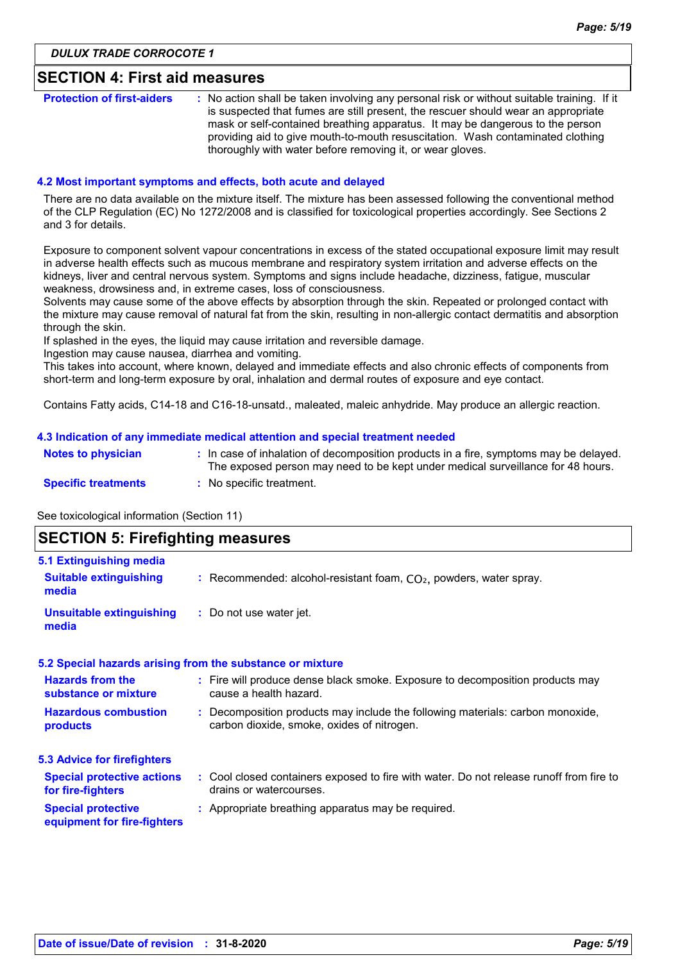### **SECTION 4: First aid measures**

| <b>Protection of first-aiders</b> | : No action shall be taken involving any personal risk or without suitable training. If it                                                                         |
|-----------------------------------|--------------------------------------------------------------------------------------------------------------------------------------------------------------------|
|                                   | is suspected that fumes are still present, the rescuer should wear an appropriate<br>mask or self-contained breathing apparatus. It may be dangerous to the person |
|                                   | providing aid to give mouth-to-mouth resuscitation. Wash contaminated clothing<br>thoroughly with water before removing it, or wear gloves.                        |

#### **4.2 Most important symptoms and effects, both acute and delayed**

There are no data available on the mixture itself. The mixture has been assessed following the conventional method of the CLP Regulation (EC) No 1272/2008 and is classified for toxicological properties accordingly. See Sections 2 and 3 for details.

Exposure to component solvent vapour concentrations in excess of the stated occupational exposure limit may result in adverse health effects such as mucous membrane and respiratory system irritation and adverse effects on the kidneys, liver and central nervous system. Symptoms and signs include headache, dizziness, fatigue, muscular weakness, drowsiness and, in extreme cases, loss of consciousness.

Solvents may cause some of the above effects by absorption through the skin. Repeated or prolonged contact with the mixture may cause removal of natural fat from the skin, resulting in non-allergic contact dermatitis and absorption through the skin.

If splashed in the eyes, the liquid may cause irritation and reversible damage.

Ingestion may cause nausea, diarrhea and vomiting.

This takes into account, where known, delayed and immediate effects and also chronic effects of components from short-term and long-term exposure by oral, inhalation and dermal routes of exposure and eye contact.

Contains Fatty acids, C14-18 and C16-18-unsatd., maleated, maleic anhydride. May produce an allergic reaction.

#### **4.3 Indication of any immediate medical attention and special treatment needed**

| Notes to physician         | : In case of inhalation of decomposition products in a fire, symptoms may be delayed.<br>The exposed person may need to be kept under medical surveillance for 48 hours. |
|----------------------------|--------------------------------------------------------------------------------------------------------------------------------------------------------------------------|
| <b>Specific treatments</b> | : No specific treatment.                                                                                                                                                 |

See toxicological information (Section 11)

### **SECTION 5: Firefighting measures**

| 5.1 Extinguishing media                                  |                                                                                                                              |
|----------------------------------------------------------|------------------------------------------------------------------------------------------------------------------------------|
| <b>Suitable extinguishing</b><br>media                   | : Recommended: alcohol-resistant foam, $CO2$ , powders, water spray.                                                         |
| <b>Unsuitable extinguishing</b><br>media                 | : Do not use water jet.                                                                                                      |
|                                                          | 5.2 Special hazards arising from the substance or mixture                                                                    |
| <b>Hazards from the</b><br>substance or mixture          | : Fire will produce dense black smoke. Exposure to decomposition products may<br>cause a health hazard.                      |
| <b>Hazardous combustion</b><br>products                  | : Decomposition products may include the following materials: carbon monoxide,<br>carbon dioxide, smoke, oxides of nitrogen. |
| <b>5.3 Advice for firefighters</b>                       |                                                                                                                              |
| <b>Special protective actions</b><br>for fire-fighters   | : Cool closed containers exposed to fire with water. Do not release runoff from fire to<br>drains or watercourses.           |
| <b>Special protective</b><br>equipment for fire-fighters | : Appropriate breathing apparatus may be required.                                                                           |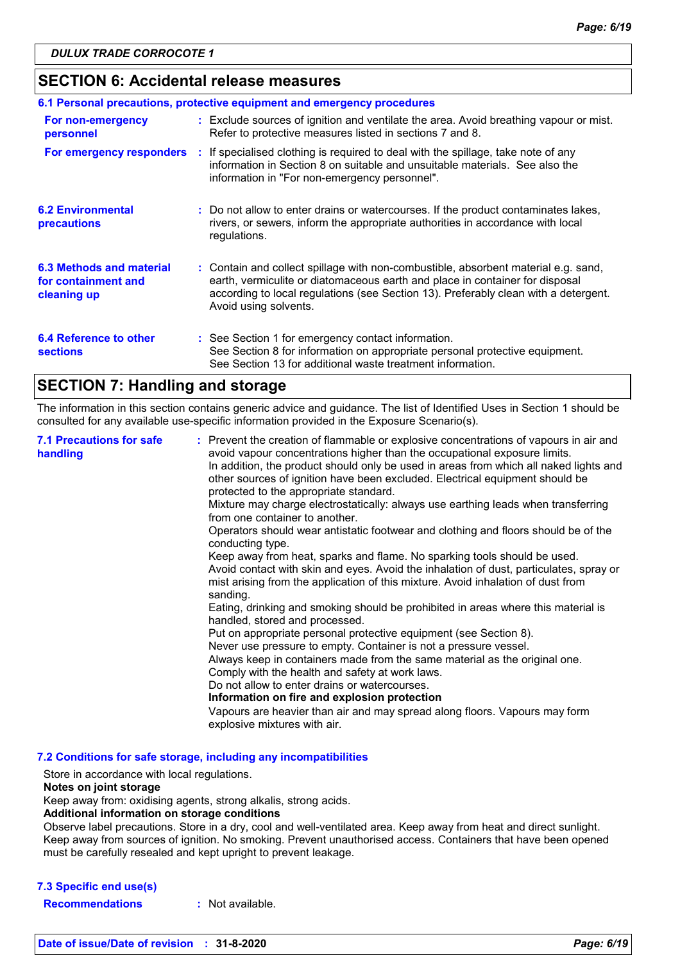# **SECTION 6: Accidental release measures**

| 6.1 Personal precautions, protective equipment and emergency procedures |  |                                                                                                                                                                                                                                                                                    |  |  |  |
|-------------------------------------------------------------------------|--|------------------------------------------------------------------------------------------------------------------------------------------------------------------------------------------------------------------------------------------------------------------------------------|--|--|--|
| For non-emergency<br>personnel                                          |  | : Exclude sources of ignition and ventilate the area. Avoid breathing vapour or mist.<br>Refer to protective measures listed in sections 7 and 8.                                                                                                                                  |  |  |  |
| For emergency responders                                                |  | : If specialised clothing is required to deal with the spillage, take note of any<br>information in Section 8 on suitable and unsuitable materials. See also the<br>information in "For non-emergency personnel".                                                                  |  |  |  |
| <b>6.2 Environmental</b><br>precautions                                 |  | : Do not allow to enter drains or watercourses. If the product contaminates lakes,<br>rivers, or sewers, inform the appropriate authorities in accordance with local<br>regulations.                                                                                               |  |  |  |
| 6.3 Methods and material<br>for containment and<br>cleaning up          |  | : Contain and collect spillage with non-combustible, absorbent material e.g. sand,<br>earth, vermiculite or diatomaceous earth and place in container for disposal<br>according to local regulations (see Section 13). Preferably clean with a detergent.<br>Avoid using solvents. |  |  |  |
| 6.4 Reference to other<br><b>sections</b>                               |  | : See Section 1 for emergency contact information.<br>See Section 8 for information on appropriate personal protective equipment.<br>See Section 13 for additional waste treatment information.                                                                                    |  |  |  |

# **SECTION 7: Handling and storage**

The information in this section contains generic advice and guidance. The list of Identified Uses in Section 1 should be consulted for any available use-specific information provided in the Exposure Scenario(s).

| <b>7.1 Precautions for safe</b><br>handling | : Prevent the creation of flammable or explosive concentrations of vapours in air and<br>avoid vapour concentrations higher than the occupational exposure limits.<br>In addition, the product should only be used in areas from which all naked lights and<br>other sources of ignition have been excluded. Electrical equipment should be<br>protected to the appropriate standard.<br>Mixture may charge electrostatically: always use earthing leads when transferring<br>from one container to another.<br>Operators should wear antistatic footwear and clothing and floors should be of the<br>conducting type.<br>Keep away from heat, sparks and flame. No sparking tools should be used.<br>Avoid contact with skin and eyes. Avoid the inhalation of dust, particulates, spray or<br>mist arising from the application of this mixture. Avoid inhalation of dust from<br>sanding.<br>Eating, drinking and smoking should be prohibited in areas where this material is<br>handled, stored and processed.<br>Put on appropriate personal protective equipment (see Section 8).<br>Never use pressure to empty. Container is not a pressure vessel.<br>Always keep in containers made from the same material as the original one.<br>Comply with the health and safety at work laws.<br>Do not allow to enter drains or watercourses.<br>Information on fire and explosion protection<br>Vapours are heavier than air and may spread along floors. Vapours may form<br>explosive mixtures with air. |
|---------------------------------------------|--------------------------------------------------------------------------------------------------------------------------------------------------------------------------------------------------------------------------------------------------------------------------------------------------------------------------------------------------------------------------------------------------------------------------------------------------------------------------------------------------------------------------------------------------------------------------------------------------------------------------------------------------------------------------------------------------------------------------------------------------------------------------------------------------------------------------------------------------------------------------------------------------------------------------------------------------------------------------------------------------------------------------------------------------------------------------------------------------------------------------------------------------------------------------------------------------------------------------------------------------------------------------------------------------------------------------------------------------------------------------------------------------------------------------------------------------------------------------------------------------------------|
|---------------------------------------------|--------------------------------------------------------------------------------------------------------------------------------------------------------------------------------------------------------------------------------------------------------------------------------------------------------------------------------------------------------------------------------------------------------------------------------------------------------------------------------------------------------------------------------------------------------------------------------------------------------------------------------------------------------------------------------------------------------------------------------------------------------------------------------------------------------------------------------------------------------------------------------------------------------------------------------------------------------------------------------------------------------------------------------------------------------------------------------------------------------------------------------------------------------------------------------------------------------------------------------------------------------------------------------------------------------------------------------------------------------------------------------------------------------------------------------------------------------------------------------------------------------------|

**7.2 Conditions for safe storage, including any incompatibilities**

Store in accordance with local regulations.

#### **Notes on joint storage**

Keep away from: oxidising agents, strong alkalis, strong acids.

**Additional information on storage conditions**

Observe label precautions. Store in a dry, cool and well-ventilated area. Keep away from heat and direct sunlight. Keep away from sources of ignition. No smoking. Prevent unauthorised access. Containers that have been opened must be carefully resealed and kept upright to prevent leakage.

#### **7.3 Specific end use(s)**

**Recommendations :** Not available.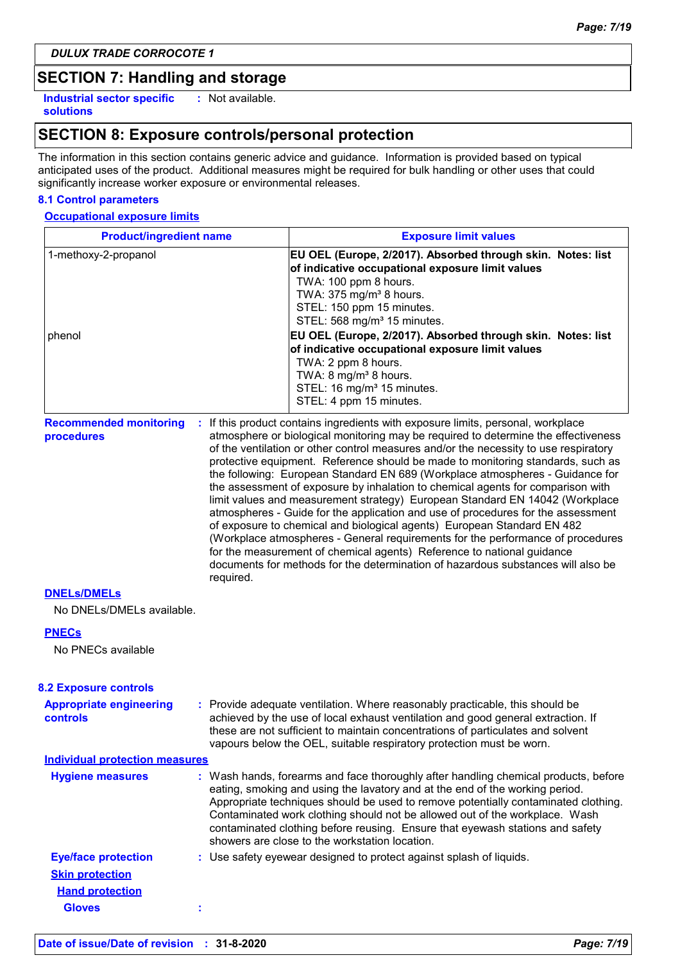# **SECTION 7: Handling and storage**

**Industrial sector specific : solutions**

: Not available.

# **SECTION 8: Exposure controls/personal protection**

The information in this section contains generic advice and guidance. Information is provided based on typical anticipated uses of the product. Additional measures might be required for bulk handling or other uses that could significantly increase worker exposure or environmental releases.

#### **8.1 Control parameters**

#### **Occupational exposure limits**

| <b>Product/ingredient name</b>                    |           | <b>Exposure limit values</b>                                                                                                                                                                                                                                                                                                                                                                                                                                                                                                                                                                                                                                                                                                                                                                                                                                                                                                                                                                                        |  |  |  |
|---------------------------------------------------|-----------|---------------------------------------------------------------------------------------------------------------------------------------------------------------------------------------------------------------------------------------------------------------------------------------------------------------------------------------------------------------------------------------------------------------------------------------------------------------------------------------------------------------------------------------------------------------------------------------------------------------------------------------------------------------------------------------------------------------------------------------------------------------------------------------------------------------------------------------------------------------------------------------------------------------------------------------------------------------------------------------------------------------------|--|--|--|
| 1-methoxy-2-propanol<br>phenol                    |           | EU OEL (Europe, 2/2017). Absorbed through skin. Notes: list<br>of indicative occupational exposure limit values<br>TWA: 100 ppm 8 hours.<br>TWA: 375 mg/m <sup>3</sup> 8 hours.<br>STEL: 150 ppm 15 minutes.<br>STEL: 568 mg/m <sup>3</sup> 15 minutes.<br>EU OEL (Europe, 2/2017). Absorbed through skin. Notes: list<br>of indicative occupational exposure limit values<br>TWA: 2 ppm 8 hours.<br>TWA: 8 mg/m <sup>3</sup> 8 hours.<br>STEL: 16 mg/m <sup>3</sup> 15 minutes.<br>STEL: 4 ppm 15 minutes.                                                                                                                                                                                                                                                                                                                                                                                                                                                                                                         |  |  |  |
| <b>Recommended monitoring</b><br>procedures       | required. | If this product contains ingredients with exposure limits, personal, workplace<br>atmosphere or biological monitoring may be required to determine the effectiveness<br>of the ventilation or other control measures and/or the necessity to use respiratory<br>protective equipment. Reference should be made to monitoring standards, such as<br>the following: European Standard EN 689 (Workplace atmospheres - Guidance for<br>the assessment of exposure by inhalation to chemical agents for comparison with<br>limit values and measurement strategy) European Standard EN 14042 (Workplace<br>atmospheres - Guide for the application and use of procedures for the assessment<br>of exposure to chemical and biological agents) European Standard EN 482<br>(Workplace atmospheres - General requirements for the performance of procedures<br>for the measurement of chemical agents) Reference to national guidance<br>documents for methods for the determination of hazardous substances will also be |  |  |  |
| <b>DNELS/DMELS</b>                                |           |                                                                                                                                                                                                                                                                                                                                                                                                                                                                                                                                                                                                                                                                                                                                                                                                                                                                                                                                                                                                                     |  |  |  |
| No DNELs/DMELs available.                         |           |                                                                                                                                                                                                                                                                                                                                                                                                                                                                                                                                                                                                                                                                                                                                                                                                                                                                                                                                                                                                                     |  |  |  |
| <b>PNECs</b><br>No PNECs available                |           |                                                                                                                                                                                                                                                                                                                                                                                                                                                                                                                                                                                                                                                                                                                                                                                                                                                                                                                                                                                                                     |  |  |  |
| <b>8.2 Exposure controls</b>                      |           |                                                                                                                                                                                                                                                                                                                                                                                                                                                                                                                                                                                                                                                                                                                                                                                                                                                                                                                                                                                                                     |  |  |  |
| <b>Appropriate engineering</b><br><b>controls</b> |           | : Provide adequate ventilation. Where reasonably practicable, this should be<br>achieved by the use of local exhaust ventilation and good general extraction. If<br>these are not sufficient to maintain concentrations of particulates and solvent<br>vapours below the OEL, suitable respiratory protection must be worn.                                                                                                                                                                                                                                                                                                                                                                                                                                                                                                                                                                                                                                                                                         |  |  |  |
| <b>Individual protection measures</b>             |           |                                                                                                                                                                                                                                                                                                                                                                                                                                                                                                                                                                                                                                                                                                                                                                                                                                                                                                                                                                                                                     |  |  |  |
| <b>Hygiene measures</b>                           |           | : Wash hands, forearms and face thoroughly after handling chemical products, before<br>eating, smoking and using the lavatory and at the end of the working period.<br>Appropriate techniques should be used to remove potentially contaminated clothing.<br>Contaminated work clothing should not be allowed out of the workplace. Wash<br>contaminated clothing before reusing. Ensure that eyewash stations and safety<br>showers are close to the workstation location.                                                                                                                                                                                                                                                                                                                                                                                                                                                                                                                                         |  |  |  |
| <b>Eye/face protection</b>                        |           | : Use safety eyewear designed to protect against splash of liquids.                                                                                                                                                                                                                                                                                                                                                                                                                                                                                                                                                                                                                                                                                                                                                                                                                                                                                                                                                 |  |  |  |
| <b>Skin protection</b>                            |           |                                                                                                                                                                                                                                                                                                                                                                                                                                                                                                                                                                                                                                                                                                                                                                                                                                                                                                                                                                                                                     |  |  |  |
| <b>Hand protection</b>                            |           |                                                                                                                                                                                                                                                                                                                                                                                                                                                                                                                                                                                                                                                                                                                                                                                                                                                                                                                                                                                                                     |  |  |  |
| <b>Gloves</b>                                     |           |                                                                                                                                                                                                                                                                                                                                                                                                                                                                                                                                                                                                                                                                                                                                                                                                                                                                                                                                                                                                                     |  |  |  |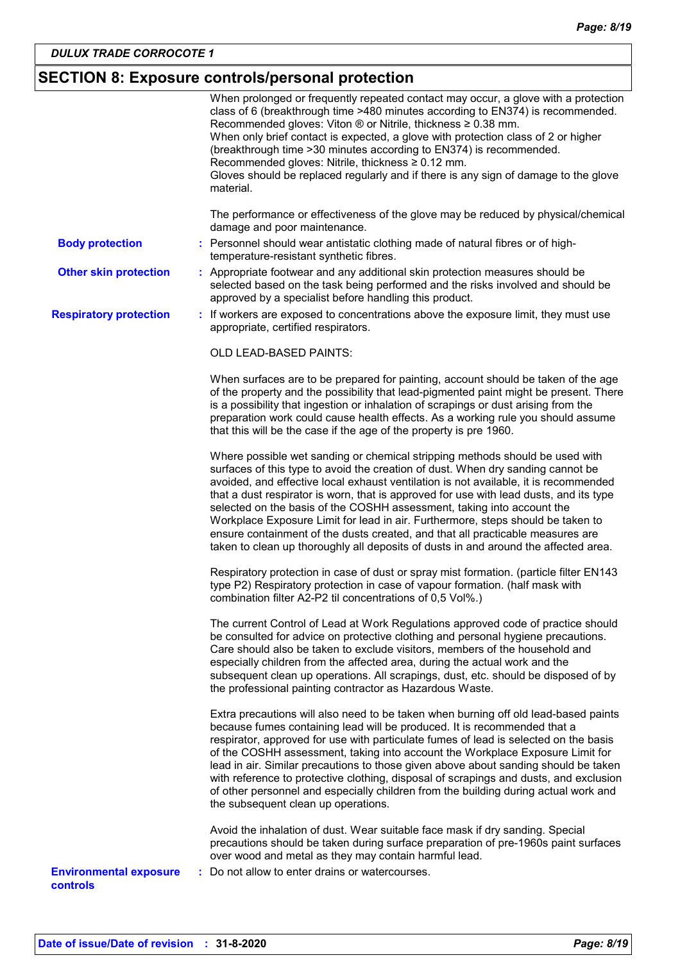# **SECTION 8: Exposure controls/personal protection**

|                                           | When prolonged or frequently repeated contact may occur, a glove with a protection<br>class of 6 (breakthrough time >480 minutes according to EN374) is recommended.<br>Recommended gloves: Viton $\otimes$ or Nitrile, thickness $\geq 0.38$ mm.<br>When only brief contact is expected, a glove with protection class of 2 or higher<br>(breakthrough time > 30 minutes according to EN374) is recommended.<br>Recommended gloves: Nitrile, thickness $\geq 0.12$ mm.<br>Gloves should be replaced regularly and if there is any sign of damage to the glove<br>material.                                                                                                             |
|-------------------------------------------|-----------------------------------------------------------------------------------------------------------------------------------------------------------------------------------------------------------------------------------------------------------------------------------------------------------------------------------------------------------------------------------------------------------------------------------------------------------------------------------------------------------------------------------------------------------------------------------------------------------------------------------------------------------------------------------------|
|                                           | The performance or effectiveness of the glove may be reduced by physical/chemical<br>damage and poor maintenance.                                                                                                                                                                                                                                                                                                                                                                                                                                                                                                                                                                       |
| <b>Body protection</b>                    | : Personnel should wear antistatic clothing made of natural fibres or of high-<br>temperature-resistant synthetic fibres.                                                                                                                                                                                                                                                                                                                                                                                                                                                                                                                                                               |
| <b>Other skin protection</b>              | : Appropriate footwear and any additional skin protection measures should be<br>selected based on the task being performed and the risks involved and should be<br>approved by a specialist before handling this product.                                                                                                                                                                                                                                                                                                                                                                                                                                                               |
| <b>Respiratory protection</b>             | : If workers are exposed to concentrations above the exposure limit, they must use<br>appropriate, certified respirators.                                                                                                                                                                                                                                                                                                                                                                                                                                                                                                                                                               |
|                                           | OLD LEAD-BASED PAINTS:                                                                                                                                                                                                                                                                                                                                                                                                                                                                                                                                                                                                                                                                  |
|                                           | When surfaces are to be prepared for painting, account should be taken of the age<br>of the property and the possibility that lead-pigmented paint might be present. There<br>is a possibility that ingestion or inhalation of scrapings or dust arising from the<br>preparation work could cause health effects. As a working rule you should assume<br>that this will be the case if the age of the property is pre 1960.                                                                                                                                                                                                                                                             |
|                                           | Where possible wet sanding or chemical stripping methods should be used with<br>surfaces of this type to avoid the creation of dust. When dry sanding cannot be<br>avoided, and effective local exhaust ventilation is not available, it is recommended<br>that a dust respirator is worn, that is approved for use with lead dusts, and its type<br>selected on the basis of the COSHH assessment, taking into account the<br>Workplace Exposure Limit for lead in air. Furthermore, steps should be taken to<br>ensure containment of the dusts created, and that all practicable measures are<br>taken to clean up thoroughly all deposits of dusts in and around the affected area. |
|                                           | Respiratory protection in case of dust or spray mist formation. (particle filter EN143<br>type P2) Respiratory protection in case of vapour formation. (half mask with<br>combination filter A2-P2 til concentrations of 0,5 Vol%.)                                                                                                                                                                                                                                                                                                                                                                                                                                                     |
|                                           | The current Control of Lead at Work Regulations approved code of practice should<br>be consulted for advice on protective clothing and personal hygiene precautions.<br>Care should also be taken to exclude visitors, members of the household and<br>especially children from the affected area, during the actual work and the<br>subsequent clean up operations. All scrapings, dust, etc. should be disposed of by<br>the professional painting contractor as Hazardous Waste.                                                                                                                                                                                                     |
|                                           | Extra precautions will also need to be taken when burning off old lead-based paints<br>because fumes containing lead will be produced. It is recommended that a<br>respirator, approved for use with particulate fumes of lead is selected on the basis<br>of the COSHH assessment, taking into account the Workplace Exposure Limit for<br>lead in air. Similar precautions to those given above about sanding should be taken<br>with reference to protective clothing, disposal of scrapings and dusts, and exclusion<br>of other personnel and especially children from the building during actual work and<br>the subsequent clean up operations.                                  |
|                                           | Avoid the inhalation of dust. Wear suitable face mask if dry sanding. Special<br>precautions should be taken during surface preparation of pre-1960s paint surfaces<br>over wood and metal as they may contain harmful lead.                                                                                                                                                                                                                                                                                                                                                                                                                                                            |
| <b>Environmental exposure</b><br>controls | Do not allow to enter drains or watercourses.                                                                                                                                                                                                                                                                                                                                                                                                                                                                                                                                                                                                                                           |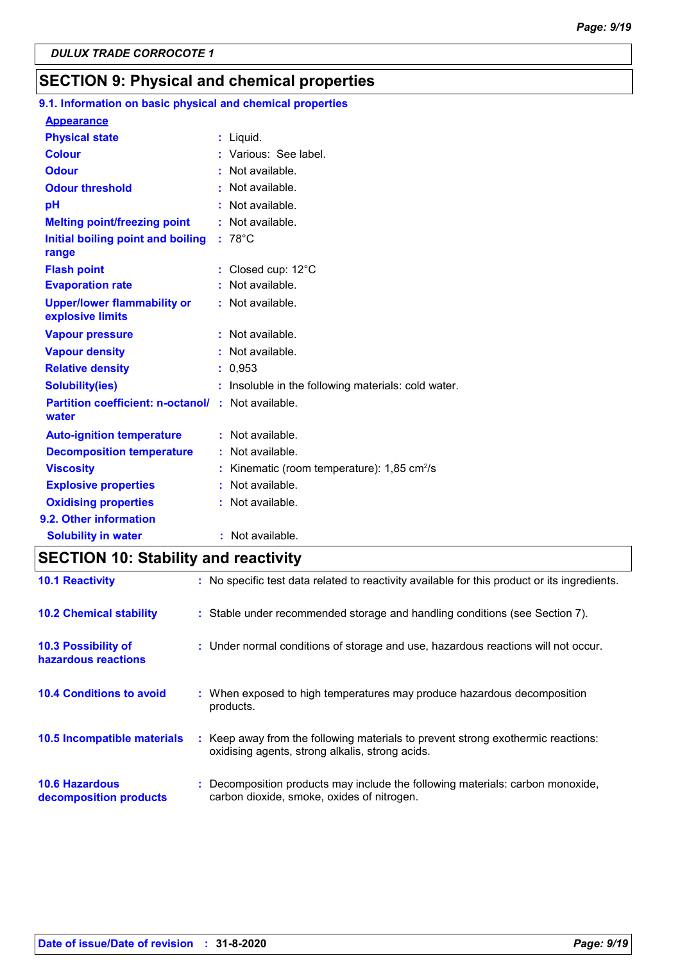# **SECTION 9: Physical and chemical properties**

#### **Initial boiling point and boiling : 78°C Physical state Melting point/freezing point range Vapour pressure Relative density Vapour density Solubility(ies)** Liquid. **: :** Not available. 0,953 **: :** Not available. **:** Not available. **:** Insoluble in the following materials: cold water. **Odour** : Not available. **pH Colour Evaporation rate Auto-ignition temperature Flash point :** Not available. Closed cup: 12°C **: :** Not available. **:** Not available. **Partition coefficient: n-octanol/ :** Not available. **:** Not available. **Viscosity Kinematic (room temperature): 1,85 cm<sup>2</sup>/s Odour threshold water Upper/lower flammability or explosive limits Explosive properties :** Various: See label. **:** Not available. : Not available. **Oxidising properties** : Not available. **9.1. Information on basic physical and chemical properties Appearance 9.2. Other information Decomposition temperature :** Not available. **Solubility in water :** Not available.

### **SECTION 10: Stability and reactivity**

| <b>10.1 Reactivity</b>                            | : No specific test data related to reactivity available for this product or its ingredients.                                        |
|---------------------------------------------------|-------------------------------------------------------------------------------------------------------------------------------------|
| <b>10.2 Chemical stability</b>                    | : Stable under recommended storage and handling conditions (see Section 7).                                                         |
| <b>10.3 Possibility of</b><br>hazardous reactions | : Under normal conditions of storage and use, hazardous reactions will not occur.                                                   |
| <b>10.4 Conditions to avoid</b>                   | : When exposed to high temperatures may produce hazardous decomposition<br>products.                                                |
| <b>10.5 Incompatible materials</b>                | : Keep away from the following materials to prevent strong exothermic reactions:<br>oxidising agents, strong alkalis, strong acids. |
| <b>10.6 Hazardous</b><br>decomposition products   | Decomposition products may include the following materials: carbon monoxide,<br>carbon dioxide, smoke, oxides of nitrogen.          |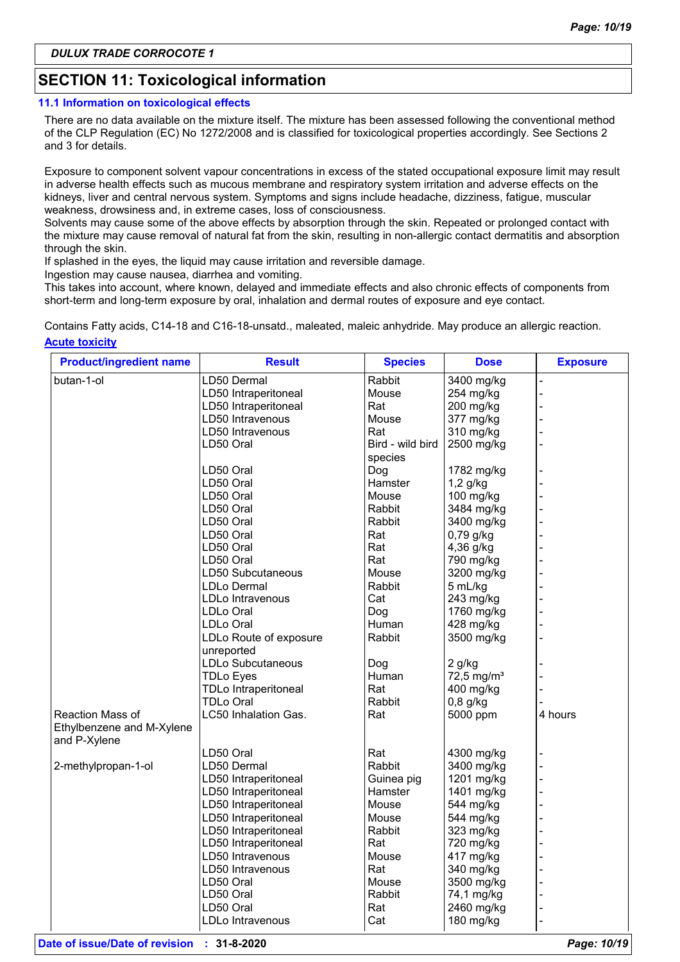# **SECTION 11: Toxicological information**

#### **11.1 Information on toxicological effects**

There are no data available on the mixture itself. The mixture has been assessed following the conventional method of the CLP Regulation (EC) No 1272/2008 and is classified for toxicological properties accordingly. See Sections 2 and 3 for details.

Exposure to component solvent vapour concentrations in excess of the stated occupational exposure limit may result in adverse health effects such as mucous membrane and respiratory system irritation and adverse effects on the kidneys, liver and central nervous system. Symptoms and signs include headache, dizziness, fatigue, muscular weakness, drowsiness and, in extreme cases, loss of consciousness.

Solvents may cause some of the above effects by absorption through the skin. Repeated or prolonged contact with the mixture may cause removal of natural fat from the skin, resulting in non-allergic contact dermatitis and absorption through the skin.

If splashed in the eyes, the liquid may cause irritation and reversible damage.

Ingestion may cause nausea, diarrhea and vomiting.

This takes into account, where known, delayed and immediate effects and also chronic effects of components from short-term and long-term exposure by oral, inhalation and dermal routes of exposure and eye contact.

**Acute toxicity** Contains Fatty acids, C14-18 and C16-18-unsatd., maleated, maleic anhydride. May produce an allergic reaction.

| <b>Product/ingredient name</b> | <b>Result</b>               | <b>Species</b>   | <b>Dose</b>    | <b>Exposure</b> |
|--------------------------------|-----------------------------|------------------|----------------|-----------------|
| butan-1-ol                     | LD50 Dermal                 | Rabbit           | 3400 mg/kg     |                 |
|                                | LD50 Intraperitoneal        | Mouse            | 254 mg/kg      |                 |
|                                | LD50 Intraperitoneal        | Rat              | 200 mg/kg      |                 |
|                                | LD50 Intravenous            | Mouse            | 377 mg/kg      |                 |
|                                | LD50 Intravenous            | Rat              | 310 mg/kg      |                 |
|                                | LD50 Oral                   | Bird - wild bird | 2500 mg/kg     |                 |
|                                |                             | species          |                |                 |
|                                | LD50 Oral                   | Dog              | 1782 mg/kg     |                 |
|                                | LD50 Oral                   | Hamster          | $1,2$ g/kg     |                 |
|                                | LD50 Oral                   | Mouse            | 100 mg/kg      |                 |
|                                | LD50 Oral                   | Rabbit           | 3484 mg/kg     |                 |
|                                | LD50 Oral                   | Rabbit           | 3400 mg/kg     |                 |
|                                | LD50 Oral                   | Rat              | $0,79$ g/kg    |                 |
|                                | LD50 Oral                   | Rat              | 4,36 g/kg      |                 |
|                                | LD50 Oral                   | Rat              | 790 mg/kg      |                 |
|                                | LD50 Subcutaneous           | Mouse            | 3200 mg/kg     |                 |
|                                | LDLo Dermal                 | Rabbit           | 5 mL/kg        |                 |
|                                | LDLo Intravenous            | Cat              | 243 mg/kg      |                 |
|                                | LDLo Oral                   | Dog              | 1760 mg/kg     |                 |
|                                | LDLo Oral                   | Human            | 428 mg/kg      |                 |
|                                | LDLo Route of exposure      | Rabbit           | 3500 mg/kg     |                 |
|                                | unreported                  |                  |                |                 |
|                                | LDLo Subcutaneous           | Dog              | 2 g/kg         |                 |
|                                | <b>TDLo Eyes</b>            | Human            | 72,5 mg/ $m^3$ |                 |
|                                | <b>TDLo Intraperitoneal</b> | Rat              | 400 mg/kg      |                 |
|                                | <b>TDLo Oral</b>            | Rabbit           | $0,8$ g/kg     |                 |
| Reaction Mass of               | LC50 Inhalation Gas.        | Rat              | 5000 ppm       | 4 hours         |
| Ethylbenzene and M-Xylene      |                             |                  |                |                 |
| and P-Xylene                   |                             |                  |                |                 |
|                                | LD50 Oral                   | Rat              | 4300 mg/kg     |                 |
| 2-methylpropan-1-ol            | LD50 Dermal                 | Rabbit           | 3400 mg/kg     |                 |
|                                | LD50 Intraperitoneal        | Guinea pig       | 1201 mg/kg     |                 |
|                                | LD50 Intraperitoneal        | Hamster          | 1401 mg/kg     |                 |
|                                | LD50 Intraperitoneal        | Mouse            | 544 mg/kg      |                 |
|                                | LD50 Intraperitoneal        | Mouse            | 544 mg/kg      |                 |
|                                | LD50 Intraperitoneal        | Rabbit           | 323 mg/kg      |                 |
|                                | LD50 Intraperitoneal        | Rat              | 720 mg/kg      |                 |
|                                | LD50 Intravenous            | Mouse            | 417 mg/kg      |                 |
|                                | LD50 Intravenous            | Rat              | 340 mg/kg      |                 |
|                                | LD50 Oral                   | Mouse            | 3500 mg/kg     |                 |
|                                | LD50 Oral                   | Rabbit           |                |                 |
|                                |                             |                  | 74,1 mg/kg     |                 |
|                                | LD50 Oral                   | Rat              | 2460 mg/kg     |                 |
|                                | LDLo Intravenous            | Cat              | 180 mg/kg      |                 |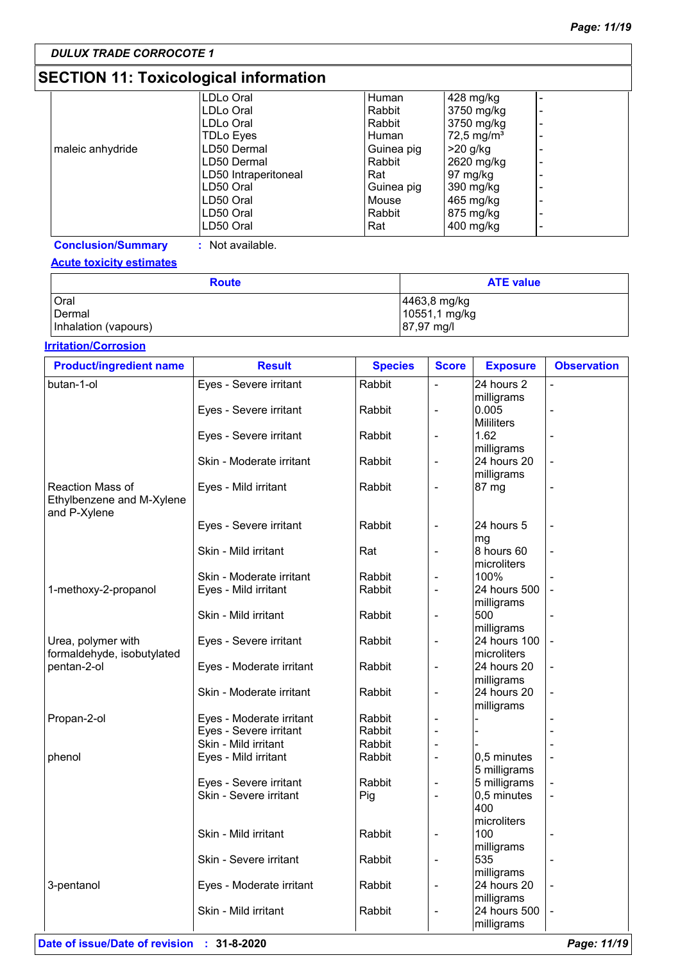# **SECTION 11: Toxicological information**

|                  | LDLo Oral            | Human      | 428 mg/kg             | $\overline{\phantom{0}}$     |
|------------------|----------------------|------------|-----------------------|------------------------------|
|                  | LDLo Oral            | Rabbit     | 3750 mg/kg            | $\overline{\phantom{a}}$     |
|                  | LDLo Oral            | Rabbit     | 3750 mg/kg            | $\overline{\phantom{a}}$     |
|                  | <b>TDLo Eyes</b>     | Human      | $72,5 \text{ mg/m}^3$ | $\overline{\phantom{0}}$     |
| maleic anhydride | LD50 Dermal          | Guinea pig | $>20$ g/kg            | $\qquad \qquad \blacksquare$ |
|                  | LD50 Dermal          | Rabbit     | 2620 mg/kg            | $\overline{\phantom{a}}$     |
|                  | LD50 Intraperitoneal | Rat        | 97 mg/kg              | $\overline{\phantom{a}}$     |
|                  | LD50 Oral            | Guinea pig | 390 mg/kg             | $\overline{\phantom{a}}$     |
|                  | LD50 Oral            | Mouse      | 465 mg/kg             | $\overline{\phantom{a}}$     |
|                  | LD50 Oral            | Rabbit     | 875 mg/kg             | $\overline{\phantom{0}}$     |
|                  | LD50 Oral            | Rat        | $400$ mg/kg           | $\overline{\phantom{a}}$     |
|                  |                      |            |                       |                              |

**Conclusion/Summary :** Not available.

#### **Acute toxicity estimates**

| <b>Route</b>         | <b>ATE value</b> |
|----------------------|------------------|
| Oral                 | 4463,8 mg/kg     |
| Dermal               | 10551,1 mg/kg    |
| Inhalation (vapours) | 87,97 mg/l       |

#### **Irritation/Corrosion**

| <b>Product/ingredient name</b>                                | <b>Result</b>                                    | <b>Species</b> | <b>Score</b>                 | <b>Exposure</b>             | <b>Observation</b> |
|---------------------------------------------------------------|--------------------------------------------------|----------------|------------------------------|-----------------------------|--------------------|
| butan-1-ol                                                    | Eyes - Severe irritant                           | Rabbit         | $\blacksquare$               | 24 hours 2                  |                    |
|                                                               |                                                  |                |                              | milligrams                  |                    |
|                                                               | Eyes - Severe irritant                           | Rabbit         | $\blacksquare$               | 0.005                       |                    |
|                                                               |                                                  |                |                              | <b>Mililiters</b>           |                    |
|                                                               | Eyes - Severe irritant                           | Rabbit         | $\overline{a}$               | 1.62                        |                    |
|                                                               |                                                  |                |                              | milligrams                  |                    |
|                                                               | Skin - Moderate irritant                         | Rabbit         | $\blacksquare$               | 24 hours 20                 |                    |
|                                                               |                                                  |                |                              | milligrams                  |                    |
| Reaction Mass of<br>Ethylbenzene and M-Xylene<br>and P-Xylene | Eyes - Mild irritant                             | Rabbit         | $\overline{\phantom{a}}$     | 87 mg                       |                    |
|                                                               | Eyes - Severe irritant                           | Rabbit         | $\overline{a}$               | 24 hours 5                  |                    |
|                                                               |                                                  |                |                              | mg                          |                    |
|                                                               | Skin - Mild irritant                             | Rat            | $\blacksquare$               | 8 hours 60                  |                    |
|                                                               |                                                  |                |                              | microliters                 |                    |
|                                                               | Skin - Moderate irritant                         | Rabbit         | $\overline{a}$               | 100%                        |                    |
| 1-methoxy-2-propanol                                          | Eyes - Mild irritant                             | Rabbit         | $\blacksquare$               | 24 hours 500                |                    |
|                                                               |                                                  |                |                              | milligrams                  |                    |
|                                                               | Skin - Mild irritant                             | Rabbit         | $\overline{a}$               | 500                         |                    |
|                                                               |                                                  |                |                              | milligrams                  |                    |
| Urea, polymer with                                            | Eyes - Severe irritant                           | Rabbit         | $\overline{\phantom{a}}$     | 24 hours 100                |                    |
| formaldehyde, isobutylated                                    |                                                  |                |                              | microliters                 |                    |
| pentan-2-ol                                                   | Eyes - Moderate irritant                         | Rabbit         | $\overline{\phantom{a}}$     | 24 hours 20                 |                    |
|                                                               |                                                  |                |                              | milligrams                  |                    |
|                                                               | Skin - Moderate irritant                         | Rabbit         | $\overline{\phantom{a}}$     | 24 hours 20                 |                    |
|                                                               |                                                  |                |                              | milligrams                  |                    |
| Propan-2-ol                                                   | Eyes - Moderate irritant                         | Rabbit         | $\overline{\phantom{m}}$     |                             |                    |
|                                                               | Eyes - Severe irritant                           | Rabbit         |                              |                             |                    |
|                                                               | Skin - Mild irritant                             | Rabbit         | $\blacksquare$               |                             |                    |
| phenol                                                        | Eyes - Mild irritant                             | Rabbit         | $\blacksquare$               | 0,5 minutes                 |                    |
|                                                               |                                                  |                |                              | 5 milligrams                |                    |
|                                                               | Eyes - Severe irritant<br>Skin - Severe irritant | Rabbit         | $\blacksquare$<br>$\sim$     | 5 milligrams<br>0,5 minutes |                    |
|                                                               |                                                  | Pig            |                              | 400                         |                    |
|                                                               |                                                  |                |                              | microliters                 |                    |
|                                                               | Skin - Mild irritant                             |                |                              |                             |                    |
|                                                               |                                                  | Rabbit         | $\qquad \qquad \blacksquare$ | 100                         |                    |
|                                                               | Skin - Severe irritant                           | Rabbit         |                              | milligrams<br>535           |                    |
|                                                               |                                                  |                | $\overline{\phantom{a}}$     |                             |                    |
| 3-pentanol                                                    | Eyes - Moderate irritant                         | Rabbit         | $\overline{\phantom{a}}$     | milligrams<br>24 hours 20   |                    |
|                                                               |                                                  |                |                              | milligrams                  |                    |
|                                                               | Skin - Mild irritant                             | Rabbit         | $\overline{\phantom{a}}$     | 24 hours 500                |                    |
|                                                               |                                                  |                |                              | milligrams                  |                    |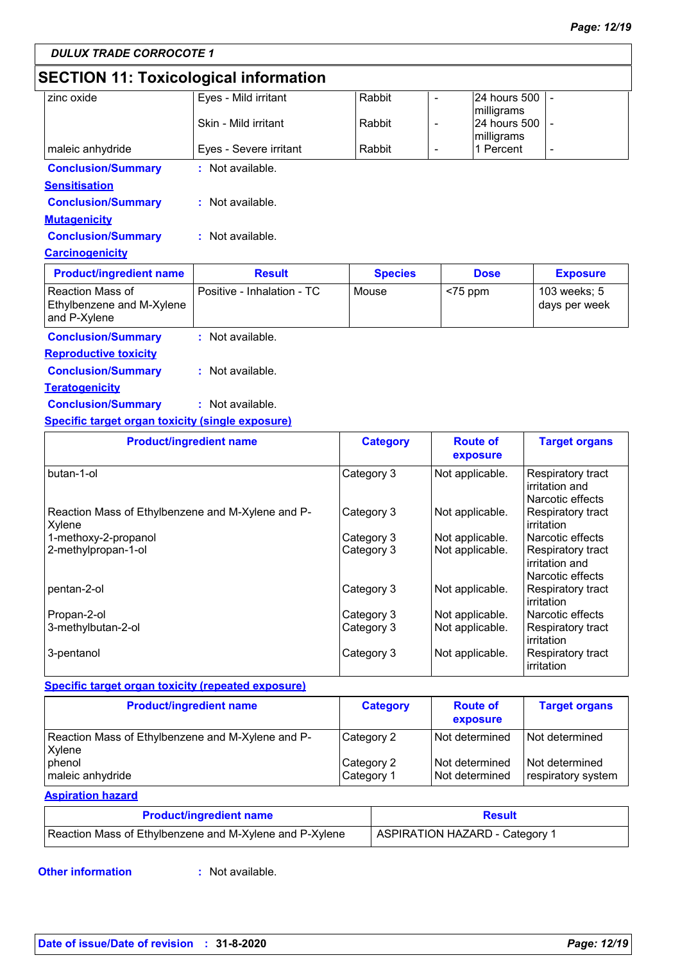# **SECTION 11: Toxicological information**

| zinc oxide                | Eyes - Mild irritant   | Rabbit |                          | 24 hours 500 |   |
|---------------------------|------------------------|--------|--------------------------|--------------|---|
|                           |                        |        |                          | milligrams   |   |
|                           | Skin - Mild irritant   | Rabbit | $\overline{\phantom{0}}$ | 24 hours 500 |   |
|                           |                        |        |                          | milligrams   |   |
| maleic anhydride          | Eyes - Severe irritant | Rabbit |                          | 1 Percent    | - |
| <b>Conclusion/Summary</b> | $:$ Not available.     |        |                          |              |   |
| <b>Sensitisation</b>      |                        |        |                          |              |   |
| <b>Conclusion/Summary</b> | : Not available.       |        |                          |              |   |
| <b>Mutagenicity</b>       |                        |        |                          |              |   |
| <b>Conclusion/Summary</b> | : Not available.       |        |                          |              |   |
| <b>Carcinogenicity</b>    |                        |        |                          |              |   |

| l Reaction Mass of<br>Positive - Inhalation - TC<br>103 weeks; 5<br>Mouse<br>$<$ 75 ppm<br>Ethylbenzene and M-Xylene<br>days per week<br>and P-Xvlene | <b>Product/ingredient name</b> | <b>Result</b> | <b>Species</b> | <b>Dose</b> | <b>Exposure</b> |
|-------------------------------------------------------------------------------------------------------------------------------------------------------|--------------------------------|---------------|----------------|-------------|-----------------|
|                                                                                                                                                       |                                |               |                |             |                 |

#### **Conclusion/Summary :** Not available. **Reproductive toxicity**

| <u>Reproductive toxicity</u> |                  |
|------------------------------|------------------|
| <b>Conclusion/Summary</b>    | : Not available. |

#### **Teratogenicity**

**Conclusion/Summary :** Not available.

#### **Specific target organ toxicity (single exposure)**

| <b>Product/ingredient name</b>                              | <b>Category</b> | <b>Route of</b><br>exposure | <b>Target organs</b>                                    |
|-------------------------------------------------------------|-----------------|-----------------------------|---------------------------------------------------------|
| butan-1-ol                                                  | Category 3      | Not applicable.             | Respiratory tract<br>irritation and<br>Narcotic effects |
| Reaction Mass of Ethylbenzene and M-Xylene and P-<br>Xylene | Category 3      | Not applicable.             | Respiratory tract<br>irritation                         |
| 1-methoxy-2-propanol                                        | Category 3      | Not applicable.             | Narcotic effects                                        |
| 2-methylpropan-1-ol                                         | Category 3      | Not applicable.             | Respiratory tract<br>irritation and<br>Narcotic effects |
| pentan-2-ol                                                 | Category 3      | Not applicable.             | Respiratory tract<br>irritation                         |
| Propan-2-ol                                                 | Category 3      | Not applicable.             | Narcotic effects                                        |
| 3-methylbutan-2-ol                                          | Category 3      | Not applicable.             | Respiratory tract<br>irritation                         |
| 3-pentanol                                                  | Category 3      | Not applicable.             | Respiratory tract<br>irritation                         |

#### **Specific target organ toxicity (repeated exposure)**

| <b>Product/ingredient name</b>                              | <b>Category</b>          | <b>Route of</b><br>exposure        | <b>Target organs</b>                 |
|-------------------------------------------------------------|--------------------------|------------------------------------|--------------------------------------|
| Reaction Mass of Ethylbenzene and M-Xylene and P-<br>Xylene | Category 2               | l Not determined                   | Not determined                       |
| phenol<br>maleic anhydride                                  | Category 2<br>Category 1 | l Not determined<br>Not determined | Not determined<br>respiratory system |

#### **Aspiration hazard**

| <b>Product/ingredient name</b>                          | <b>Result</b>                  |  |
|---------------------------------------------------------|--------------------------------|--|
| Reaction Mass of Ethylbenzene and M-Xylene and P-Xylene | ASPIRATION HAZARD - Category 1 |  |

#### **Other information :**

**Not available.**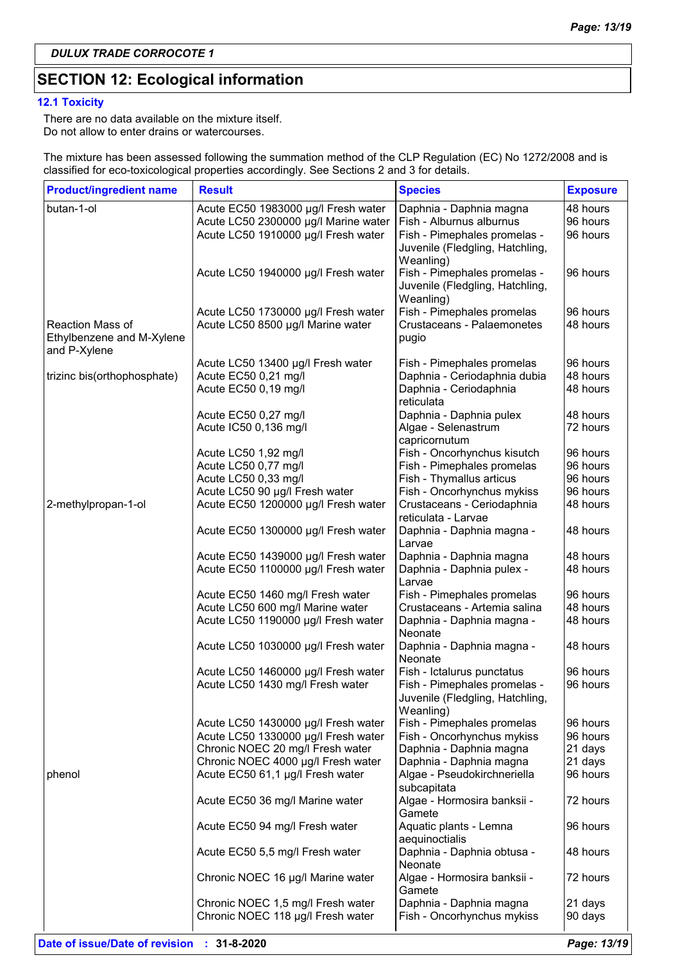# **SECTION 12: Ecological information**

#### **12.1 Toxicity**

There are no data available on the mixture itself. Do not allow to enter drains or watercourses.

The mixture has been assessed following the summation method of the CLP Regulation (EC) No 1272/2008 and is classified for eco-toxicological properties accordingly. See Sections 2 and 3 for details.

| <b>Product/ingredient name</b> | <b>Result</b>                                                            | <b>Species</b>                                     | <b>Exposure</b>     |
|--------------------------------|--------------------------------------------------------------------------|----------------------------------------------------|---------------------|
| butan-1-ol                     | Acute EC50 1983000 µg/l Fresh water                                      | Daphnia - Daphnia magna                            | 48 hours            |
|                                | Acute LC50 2300000 µg/l Marine water                                     | Fish - Alburnus alburnus                           | 96 hours            |
|                                | Acute LC50 1910000 µg/l Fresh water                                      | Fish - Pimephales promelas -                       | 96 hours            |
|                                |                                                                          | Juvenile (Fledgling, Hatchling,                    |                     |
|                                |                                                                          | Weanling)                                          |                     |
|                                | Acute LC50 1940000 µg/l Fresh water                                      | Fish - Pimephales promelas -                       | 96 hours            |
|                                |                                                                          | Juvenile (Fledgling, Hatchling,                    |                     |
|                                |                                                                          | Weanling)<br>Fish - Pimephales promelas            | 96 hours            |
| <b>Reaction Mass of</b>        | Acute LC50 1730000 µg/l Fresh water<br>Acute LC50 8500 µg/l Marine water | Crustaceans - Palaemonetes                         | 48 hours            |
| Ethylbenzene and M-Xylene      |                                                                          | pugio                                              |                     |
| and P-Xylene                   |                                                                          |                                                    |                     |
|                                | Acute LC50 13400 µg/l Fresh water                                        | Fish - Pimephales promelas                         | 96 hours            |
| trizinc bis(orthophosphate)    | Acute EC50 0,21 mg/l                                                     | Daphnia - Ceriodaphnia dubia                       | 48 hours            |
|                                | Acute EC50 0,19 mg/l                                                     | Daphnia - Ceriodaphnia                             | 48 hours            |
|                                |                                                                          | reticulata                                         |                     |
|                                | Acute EC50 0,27 mg/l                                                     | Daphnia - Daphnia pulex                            | 48 hours            |
|                                | Acute IC50 0,136 mg/l                                                    | Algae - Selenastrum                                | 72 hours            |
|                                |                                                                          | capricornutum                                      |                     |
|                                | Acute LC50 1,92 mg/l                                                     | Fish - Oncorhynchus kisutch                        | 96 hours            |
|                                | Acute LC50 0,77 mg/l                                                     | Fish - Pimephales promelas                         | 96 hours            |
|                                | Acute LC50 0,33 mg/l                                                     | Fish - Thymallus articus                           | 96 hours            |
|                                | Acute LC50 90 µg/l Fresh water                                           | Fish - Oncorhynchus mykiss                         | 96 hours            |
| 2-methylpropan-1-ol            | Acute EC50 1200000 µg/l Fresh water                                      | Crustaceans - Ceriodaphnia                         | 48 hours            |
|                                |                                                                          | reticulata - Larvae                                |                     |
|                                | Acute EC50 1300000 µg/l Fresh water                                      | Daphnia - Daphnia magna -<br>Larvae                | 48 hours            |
|                                | Acute EC50 1439000 µg/l Fresh water                                      | Daphnia - Daphnia magna                            | 48 hours            |
|                                | Acute EC50 1100000 µg/l Fresh water                                      | Daphnia - Daphnia pulex -                          | 48 hours            |
|                                |                                                                          | Larvae                                             |                     |
|                                | Acute EC50 1460 mg/l Fresh water                                         | Fish - Pimephales promelas                         | 96 hours            |
|                                | Acute LC50 600 mg/l Marine water                                         | Crustaceans - Artemia salina                       | 48 hours            |
|                                | Acute LC50 1190000 µg/l Fresh water                                      | Daphnia - Daphnia magna -                          | 48 hours            |
|                                |                                                                          | Neonate                                            |                     |
|                                | Acute LC50 1030000 µg/l Fresh water                                      | Daphnia - Daphnia magna -                          | 48 hours            |
|                                |                                                                          | Neonate                                            |                     |
|                                | Acute LC50 1460000 µg/l Fresh water                                      | Fish - Ictalurus punctatus                         | 96 hours            |
|                                | Acute LC50 1430 mg/l Fresh water                                         | Fish - Pimephales promelas -                       | 96 hours            |
|                                |                                                                          | Juvenile (Fledgling, Hatchling,                    |                     |
|                                |                                                                          | Weanling)                                          |                     |
|                                | Acute LC50 1430000 µg/l Fresh water                                      | Fish - Pimephales promelas                         | 96 hours            |
|                                | Acute LC50 1330000 µg/l Fresh water                                      | Fish - Oncorhynchus mykiss                         | 96 hours<br>21 days |
|                                | Chronic NOEC 20 mg/l Fresh water<br>Chronic NOEC 4000 µg/l Fresh water   | Daphnia - Daphnia magna<br>Daphnia - Daphnia magna | 21 days             |
| phenol                         | Acute EC50 61,1 µg/l Fresh water                                         | Algae - Pseudokirchneriella                        | 96 hours            |
|                                |                                                                          | subcapitata                                        |                     |
|                                | Acute EC50 36 mg/l Marine water                                          | Algae - Hormosira banksii -                        | 72 hours            |
|                                |                                                                          | Gamete                                             |                     |
|                                | Acute EC50 94 mg/l Fresh water                                           | Aquatic plants - Lemna                             | 96 hours            |
|                                |                                                                          | aequinoctialis                                     |                     |
|                                | Acute EC50 5,5 mg/l Fresh water                                          | Daphnia - Daphnia obtusa -                         | 48 hours            |
|                                |                                                                          | Neonate                                            |                     |
|                                | Chronic NOEC 16 µg/l Marine water                                        | Algae - Hormosira banksii -                        | 72 hours            |
|                                |                                                                          | Gamete                                             |                     |
|                                | Chronic NOEC 1,5 mg/l Fresh water                                        | Daphnia - Daphnia magna                            | 21 days             |
|                                | Chronic NOEC 118 µg/l Fresh water                                        | Fish - Oncorhynchus mykiss                         | 90 days             |
|                                |                                                                          |                                                    |                     |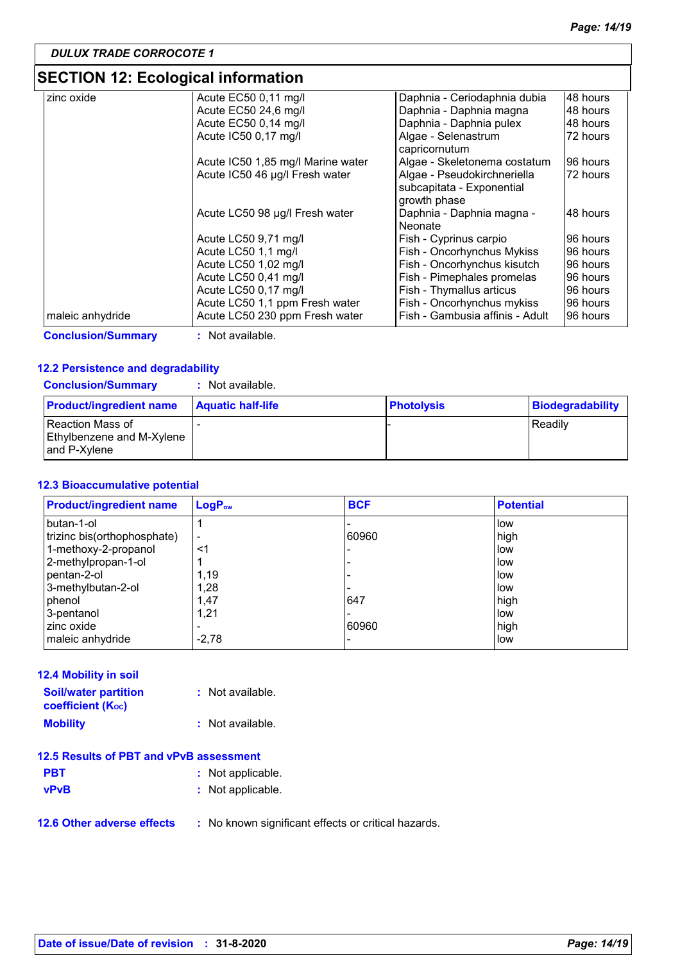# **SECTION 12: Ecological information**

| zinc oxide                | Acute EC50 0,11 mg/l              | Daphnia - Ceriodaphnia dubia    | 48 hours |
|---------------------------|-----------------------------------|---------------------------------|----------|
|                           | Acute EC50 24,6 mg/l              | Daphnia - Daphnia magna         | 48 hours |
|                           | Acute EC50 0,14 mg/l              | Daphnia - Daphnia pulex         | 48 hours |
|                           | Acute IC50 0,17 mg/l              | Algae - Selenastrum             | 72 hours |
|                           |                                   | capricornutum                   |          |
|                           | Acute IC50 1,85 mg/l Marine water | Algae - Skeletonema costatum    | 96 hours |
|                           | Acute IC50 46 µg/l Fresh water    | Algae - Pseudokirchneriella     | 72 hours |
|                           |                                   | subcapitata - Exponential       |          |
|                           |                                   | growth phase                    |          |
|                           | Acute LC50 98 µg/l Fresh water    | Daphnia - Daphnia magna -       | 48 hours |
|                           |                                   | <b>Neonate</b>                  |          |
|                           | Acute LC50 9,71 mg/l              | Fish - Cyprinus carpio          | 96 hours |
|                           | Acute LC50 1,1 mg/l               | Fish - Oncorhynchus Mykiss      | 96 hours |
|                           | Acute LC50 1,02 mg/l              | Fish - Oncorhynchus kisutch     | 96 hours |
|                           | Acute LC50 0,41 mg/l              | Fish - Pimephales promelas      | 96 hours |
|                           | Acute LC50 0,17 mg/l              | Fish - Thymallus articus        | 96 hours |
|                           | Acute LC50 1,1 ppm Fresh water    | Fish - Oncorhynchus mykiss      | 96 hours |
| maleic anhydride          | Acute LC50 230 ppm Fresh water    | Fish - Gambusia affinis - Adult | 96 hours |
| <b>Conclusion/Summary</b> | : Not available.                  |                                 |          |

#### **12.2 Persistence and degradability**

| <b>Conclusion/Summary</b>                                            | : Not available.         |                   |                  |
|----------------------------------------------------------------------|--------------------------|-------------------|------------------|
| <b>Product/ingredient name</b>                                       | <b>Aquatic half-life</b> | <b>Photolysis</b> | Biodegradability |
| Reaction Mass of<br><b>Ethylbenzene and M-Xylene</b><br>and P-Xylene |                          |                   | Readily          |

#### **12.3 Bioaccumulative potential**

| <b>Product/ingredient name</b> | $LogP_{ow}$              | <b>BCF</b> | <b>Potential</b> |
|--------------------------------|--------------------------|------------|------------------|
| butan-1-ol                     |                          |            | low              |
| trizinc bis(orthophosphate)    | $\overline{\phantom{a}}$ | 60960      | high             |
| 1-methoxy-2-propanol           | $\leq$ 1                 |            | low              |
| 2-methylpropan-1-ol            |                          |            | low              |
| pentan-2-ol                    | 1,19                     |            | low              |
| 3-methylbutan-2-ol             | 1,28                     |            | low              |
| phenol                         | 1,47                     | 647        | high             |
| 3-pentanol                     | 1,21                     |            | low              |
| zinc oxide                     | ٠                        | 60960      | high             |
| maleic anhydride               | $-2,78$                  |            | low              |

| <b>12.4 Mobility in soil</b>                            |                  |
|---------------------------------------------------------|------------------|
| <b>Soil/water partition</b><br><b>coefficient (Koc)</b> | : Not available. |
| <b>Mobility</b>                                         | : Not available. |

| 12.5 Results of PBT and vPvB assessment |                   |  |
|-----------------------------------------|-------------------|--|
| <b>PBT</b>                              | : Not applicable. |  |
| <b>vPvB</b>                             | : Not applicable. |  |

**12.6 Other adverse effects** : No known significant effects or critical hazards.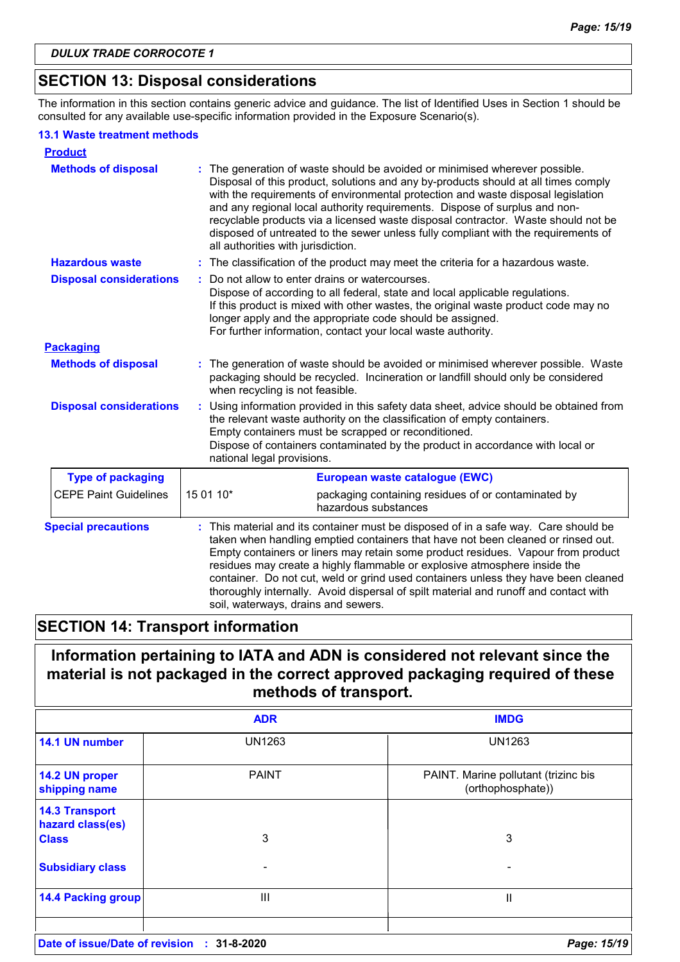# **SECTION 13: Disposal considerations**

The information in this section contains generic advice and guidance. The list of Identified Uses in Section 1 should be consulted for any available use-specific information provided in the Exposure Scenario(s).

#### **13.1 Waste treatment methods**

| <b>Product</b>                 |                                                                                                                                                                                                                                                                                                                                                                                                                                                                                                                                                             |
|--------------------------------|-------------------------------------------------------------------------------------------------------------------------------------------------------------------------------------------------------------------------------------------------------------------------------------------------------------------------------------------------------------------------------------------------------------------------------------------------------------------------------------------------------------------------------------------------------------|
| <b>Methods of disposal</b>     | The generation of waste should be avoided or minimised wherever possible.<br>Disposal of this product, solutions and any by-products should at all times comply<br>with the requirements of environmental protection and waste disposal legislation<br>and any regional local authority requirements. Dispose of surplus and non-<br>recyclable products via a licensed waste disposal contractor. Waste should not be<br>disposed of untreated to the sewer unless fully compliant with the requirements of<br>all authorities with jurisdiction.          |
| <b>Hazardous waste</b>         | : The classification of the product may meet the criteria for a hazardous waste.                                                                                                                                                                                                                                                                                                                                                                                                                                                                            |
| <b>Disposal considerations</b> | Do not allow to enter drains or watercourses.<br>Dispose of according to all federal, state and local applicable regulations.<br>If this product is mixed with other wastes, the original waste product code may no<br>longer apply and the appropriate code should be assigned.<br>For further information, contact your local waste authority.                                                                                                                                                                                                            |
| <b>Packaging</b>               |                                                                                                                                                                                                                                                                                                                                                                                                                                                                                                                                                             |
| <b>Methods of disposal</b>     | : The generation of waste should be avoided or minimised wherever possible. Waste<br>packaging should be recycled. Incineration or landfill should only be considered<br>when recycling is not feasible.                                                                                                                                                                                                                                                                                                                                                    |
| <b>Disposal considerations</b> | Using information provided in this safety data sheet, advice should be obtained from<br>the relevant waste authority on the classification of empty containers.<br>Empty containers must be scrapped or reconditioned.<br>Dispose of containers contaminated by the product in accordance with local or<br>national legal provisions.                                                                                                                                                                                                                       |
| <b>Type of packaging</b>       | European waste catalogue (EWC)                                                                                                                                                                                                                                                                                                                                                                                                                                                                                                                              |
| <b>CEPE Paint Guidelines</b>   | 15 01 10*<br>packaging containing residues of or contaminated by<br>hazardous substances                                                                                                                                                                                                                                                                                                                                                                                                                                                                    |
| <b>Special precautions</b>     | This material and its container must be disposed of in a safe way. Care should be<br>taken when handling emptied containers that have not been cleaned or rinsed out.<br>Empty containers or liners may retain some product residues. Vapour from product<br>residues may create a highly flammable or explosive atmosphere inside the<br>container. Do not cut, weld or grind used containers unless they have been cleaned<br>thoroughly internally. Avoid dispersal of spilt material and runoff and contact with<br>soil, waterways, drains and sewers. |

# **SECTION 14: Transport information**

# **Information pertaining to IATA and ADN is considered not relevant since the material is not packaged in the correct approved packaging required of these methods of transport.**

|                                           | <b>ADR</b>        | <b>IMDG</b>                                               |
|-------------------------------------------|-------------------|-----------------------------------------------------------|
| 14.1 UN number                            | <b>UN1263</b>     | <b>UN1263</b>                                             |
| 14.2 UN proper<br>shipping name           | <b>PAINT</b>      | PAINT. Marine pollutant (trizinc bis<br>(orthophosphate)) |
| <b>14.3 Transport</b><br>hazard class(es) |                   |                                                           |
| <b>Class</b>                              | 3                 | 3                                                         |
| <b>Subsidiary class</b>                   |                   |                                                           |
| <b>14.4 Packing group</b>                 | Ш                 | н                                                         |
| Date of issue/Date of revision            | $: 31 - 8 - 2020$ | Page: 15/19                                               |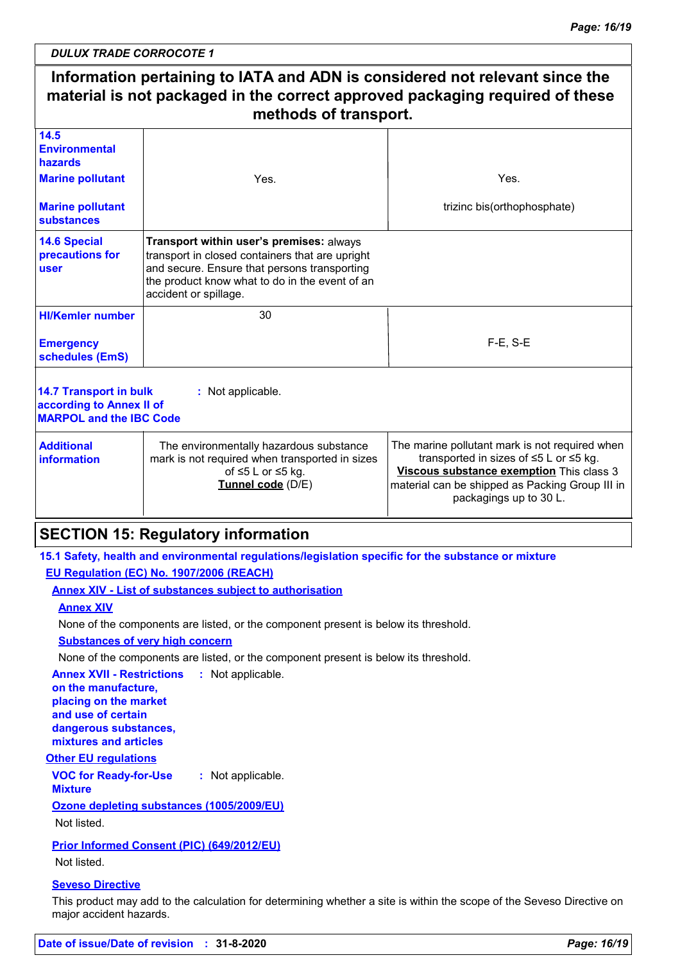# **Information pertaining to IATA and ADN is considered not relevant since the material is not packaged in the correct approved packaging required of these methods of transport.**

| 14.5<br><b>Environmental</b><br>hazards<br><b>Marine pollutant</b><br><b>Marine pollutant</b><br>substances | Yes.                                                                                                                                                                                                                   | Yes.<br>trizinc bis(orthophosphate)                                                                                                                                                                                           |
|-------------------------------------------------------------------------------------------------------------|------------------------------------------------------------------------------------------------------------------------------------------------------------------------------------------------------------------------|-------------------------------------------------------------------------------------------------------------------------------------------------------------------------------------------------------------------------------|
| <b>14.6 Special</b><br>precautions for<br>user                                                              | Transport within user's premises: always<br>transport in closed containers that are upright<br>and secure. Ensure that persons transporting<br>the product know what to do in the event of an<br>accident or spillage. |                                                                                                                                                                                                                               |
| <b>HI/Kemler number</b><br><b>Emergency</b><br>schedules (EmS)                                              | 30                                                                                                                                                                                                                     | $F-E$ , S-E                                                                                                                                                                                                                   |
| 14.7 Transport in bulk<br>according to Annex II of<br><b>MARPOL and the IBC Code</b>                        | : Not applicable.                                                                                                                                                                                                      |                                                                                                                                                                                                                               |
| <b>Additional</b><br>information                                                                            | The environmentally hazardous substance<br>mark is not required when transported in sizes<br>of $\leq 5$ L or $\leq 5$ kg.<br>Tunnel code (D/E)                                                                        | The marine pollutant mark is not required when<br>transported in sizes of $\leq$ 5 L or $\leq$ 5 kg.<br>Viscous substance exemption This class 3<br>material can be shipped as Packing Group III in<br>packagings up to 30 L. |

# **SECTION 15: Regulatory information**

**15.1 Safety, health and environmental regulations/legislation specific for the substance or mixture EU Regulation (EC) No. 1907/2006 (REACH)**

**Annex XIV - List of substances subject to authorisation**

**Annex XIV**

None of the components are listed, or the component present is below its threshold.

**Substances of very high concern**

None of the components are listed, or the component present is below its threshold.

**Annex XVII - Restrictions : Not applicable.** 

**on the manufacture, placing on the market and use of certain dangerous substances, mixtures and articles**

#### **Other EU regulations**

**VOC for Ready-for-Use Mixture :** Not applicable.

**Ozone depleting substances (1005/2009/EU)**

Not listed.

**Prior Informed Consent (PIC) (649/2012/EU)** Not listed.

#### **Seveso Directive**

This product may add to the calculation for determining whether a site is within the scope of the Seveso Directive on major accident hazards.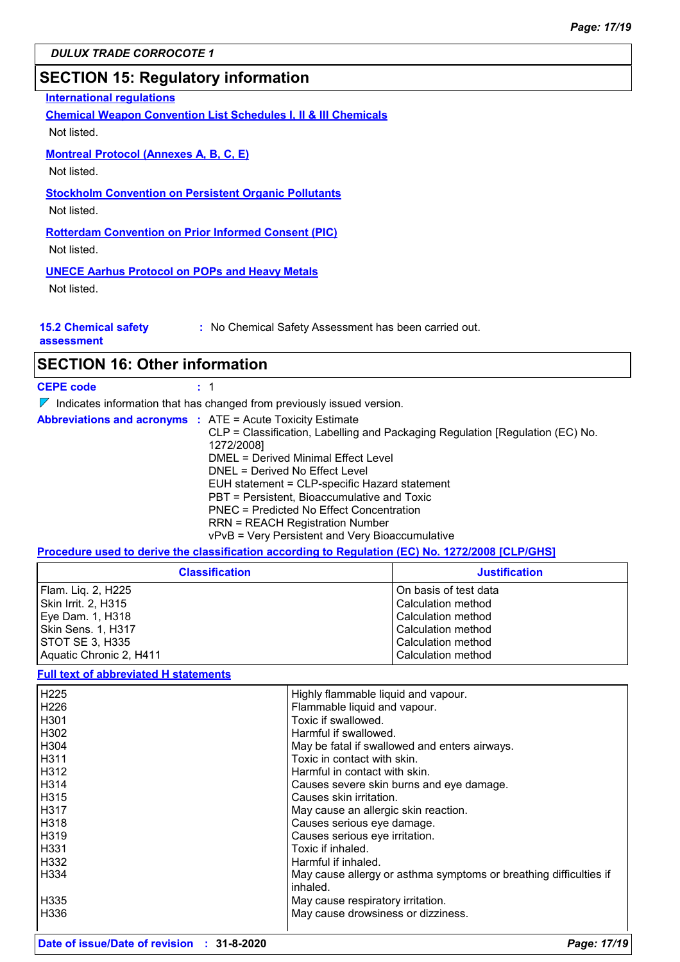# **SECTION 15: Regulatory information**

#### **International regulations**

**Chemical Weapon Convention List Schedules I, II & III Chemicals**

Not listed.

#### **Montreal Protocol (Annexes A, B, C, E)**

Not listed.

# **Stockholm Convention on Persistent Organic Pollutants**

Not listed.

# **Rotterdam Convention on Prior Informed Consent (PIC)**

Not listed.

#### **UNECE Aarhus Protocol on POPs and Heavy Metals**

Not listed.

#### **15.2 Chemical safety**

**:** No Chemical Safety Assessment has been carried out.

**assessment**

# **SECTION 16: Other information**

**CEPE code :** 1

 $\nabla$  Indicates information that has changed from previously issued version.

**Abbreviations and acronyms :** ATE = Acute Toxicity Estimate CLP = Classification, Labelling and Packaging Regulation [Regulation (EC) No. 1272/2008] DMEL = Derived Minimal Effect Level DNEL = Derived No Effect Level EUH statement = CLP-specific Hazard statement PBT = Persistent, Bioaccumulative and Toxic PNEC = Predicted No Effect Concentration RRN = REACH Registration Number vPvB = Very Persistent and Very Bioaccumulative

#### **Procedure used to derive the classification according to Regulation (EC) No. 1272/2008 [CLP/GHS]**

| <b>Classification</b>   | <b>Justification</b>  |
|-------------------------|-----------------------|
| Flam. Liq. 2, H225      | On basis of test data |
| Skin Irrit. 2, H315     | Calculation method    |
| Eye Dam. 1, H318        | Calculation method    |
| Skin Sens. 1, H317      | Calculation method    |
| STOT SE 3, H335         | Calculation method    |
| Aquatic Chronic 2, H411 | Calculation method    |

#### **Full text of abbreviated H statements**

| H225             | Highly flammable liquid and vapour.                               |
|------------------|-------------------------------------------------------------------|
|                  |                                                                   |
| H <sub>226</sub> | Flammable liquid and vapour.                                      |
| H <sub>301</sub> | Toxic if swallowed.                                               |
| H302             | Harmful if swallowed.                                             |
| H304             | May be fatal if swallowed and enters airways.                     |
| H <sub>311</sub> | Toxic in contact with skin.                                       |
| H312             | Harmful in contact with skin.                                     |
| H314             | Causes severe skin burns and eye damage.                          |
| H315             | Causes skin irritation.                                           |
| l H317           | May cause an allergic skin reaction.                              |
| H318             | Causes serious eye damage.                                        |
| l H319           | Causes serious eye irritation.                                    |
| H331             | Toxic if inhaled.                                                 |
| H332             | Harmful if inhaled.                                               |
| H334             | May cause allergy or asthma symptoms or breathing difficulties if |
|                  | inhaled.                                                          |
| H335             | May cause respiratory irritation.                                 |
| H336             | May cause drowsiness or dizziness.                                |
|                  |                                                                   |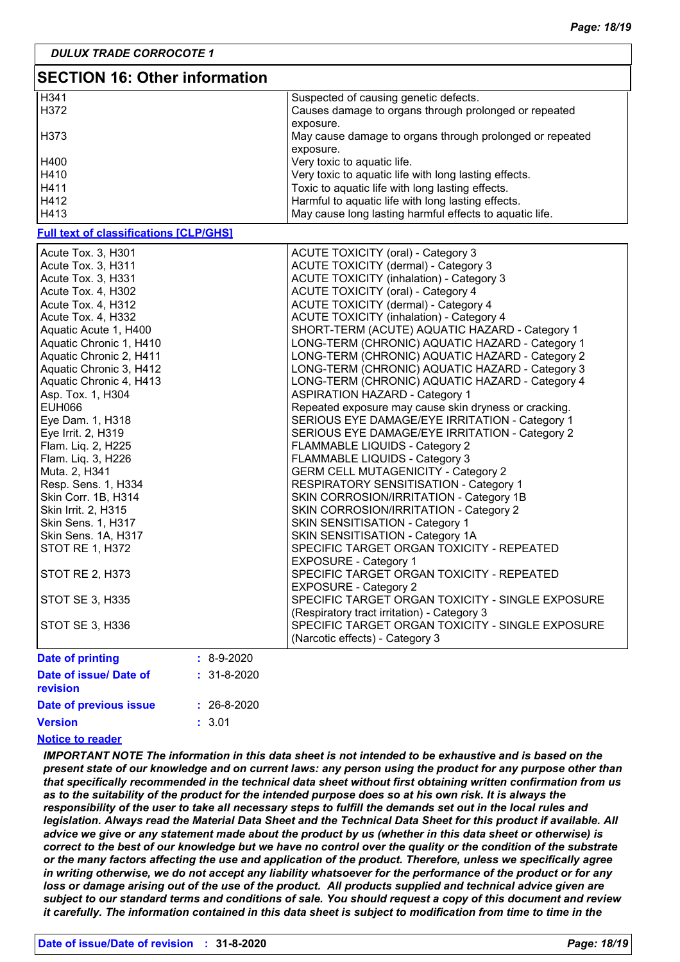| <b>SECTION 16: Other information</b>          |                   |                                                          |  |  |
|-----------------------------------------------|-------------------|----------------------------------------------------------|--|--|
| H341                                          |                   | Suspected of causing genetic defects.                    |  |  |
| H372                                          |                   | Causes damage to organs through prolonged or repeated    |  |  |
|                                               |                   | exposure.                                                |  |  |
| H373                                          |                   | May cause damage to organs through prolonged or repeated |  |  |
|                                               |                   | exposure.                                                |  |  |
| H400                                          |                   | Very toxic to aquatic life.                              |  |  |
| H410                                          |                   | Very toxic to aquatic life with long lasting effects.    |  |  |
| H411                                          |                   | Toxic to aquatic life with long lasting effects.         |  |  |
| H412                                          |                   | Harmful to aquatic life with long lasting effects.       |  |  |
| H413                                          |                   | May cause long lasting harmful effects to aquatic life.  |  |  |
| <b>Full text of classifications [CLP/GHS]</b> |                   |                                                          |  |  |
|                                               |                   |                                                          |  |  |
| Acute Tox. 3, H301                            |                   | ACUTE TOXICITY (oral) - Category 3                       |  |  |
| Acute Tox. 3, H311                            |                   | ACUTE TOXICITY (dermal) - Category 3                     |  |  |
| Acute Tox. 3, H331                            |                   | <b>ACUTE TOXICITY (inhalation) - Category 3</b>          |  |  |
| Acute Tox. 4, H302                            |                   | ACUTE TOXICITY (oral) - Category 4                       |  |  |
| Acute Tox. 4, H312                            |                   | ACUTE TOXICITY (dermal) - Category 4                     |  |  |
| Acute Tox. 4, H332                            |                   | <b>ACUTE TOXICITY (inhalation) - Category 4</b>          |  |  |
| Aquatic Acute 1, H400                         |                   | SHORT-TERM (ACUTE) AQUATIC HAZARD - Category 1           |  |  |
| Aquatic Chronic 1, H410                       |                   | LONG-TERM (CHRONIC) AQUATIC HAZARD - Category 1          |  |  |
| Aquatic Chronic 2, H411                       |                   | LONG-TERM (CHRONIC) AQUATIC HAZARD - Category 2          |  |  |
| Aquatic Chronic 3, H412                       |                   | LONG-TERM (CHRONIC) AQUATIC HAZARD - Category 3          |  |  |
| Aquatic Chronic 4, H413                       |                   | LONG-TERM (CHRONIC) AQUATIC HAZARD - Category 4          |  |  |
| Asp. Tox. 1, H304                             |                   | <b>ASPIRATION HAZARD - Category 1</b>                    |  |  |
| <b>EUH066</b>                                 |                   | Repeated exposure may cause skin dryness or cracking.    |  |  |
| Eye Dam. 1, H318                              |                   | SERIOUS EYE DAMAGE/EYE IRRITATION - Category 1           |  |  |
| Eye Irrit. 2, H319                            |                   | SERIOUS EYE DAMAGE/EYE IRRITATION - Category 2           |  |  |
| Flam. Liq. 2, H225                            |                   | FLAMMABLE LIQUIDS - Category 2                           |  |  |
| Flam. Liq. 3, H226                            |                   | FLAMMABLE LIQUIDS - Category 3                           |  |  |
| Muta. 2, H341                                 |                   | <b>GERM CELL MUTAGENICITY - Category 2</b>               |  |  |
| Resp. Sens. 1, H334                           |                   | RESPIRATORY SENSITISATION - Category 1                   |  |  |
| Skin Corr. 1B, H314                           |                   | SKIN CORROSION/IRRITATION - Category 1B                  |  |  |
| Skin Irrit. 2, H315                           |                   | SKIN CORROSION/IRRITATION - Category 2                   |  |  |
| Skin Sens. 1, H317                            |                   | SKIN SENSITISATION - Category 1                          |  |  |
| Skin Sens. 1A, H317                           |                   | SKIN SENSITISATION - Category 1A                         |  |  |
| <b>STOT RE 1, H372</b>                        |                   | SPECIFIC TARGET ORGAN TOXICITY - REPEATED                |  |  |
|                                               |                   | <b>EXPOSURE - Category 1</b>                             |  |  |
| STOT RE 2, H373                               |                   | SPECIFIC TARGET ORGAN TOXICITY - REPEATED                |  |  |
|                                               |                   | <b>EXPOSURE - Category 2</b>                             |  |  |
| STOT SE 3, H335                               |                   | SPECIFIC TARGET ORGAN TOXICITY - SINGLE EXPOSURE         |  |  |
|                                               |                   | (Respiratory tract irritation) - Category 3              |  |  |
| STOT SE 3, H336                               |                   | SPECIFIC TARGET ORGAN TOXICITY - SINGLE EXPOSURE         |  |  |
|                                               |                   | (Narcotic effects) - Category 3                          |  |  |
| <b>Date of printing</b>                       | $: 8-9-2020$      |                                                          |  |  |
| Date of issue/ Date of                        | $: 31 - 8 - 2020$ |                                                          |  |  |
| revision                                      |                   |                                                          |  |  |
| Date of previous issue                        | $: 26 - 8 - 2020$ |                                                          |  |  |
|                                               |                   |                                                          |  |  |
| <b>Version</b>                                | : 3.01            |                                                          |  |  |

#### **Notice to reader**

*IMPORTANT NOTE The information in this data sheet is not intended to be exhaustive and is based on the present state of our knowledge and on current laws: any person using the product for any purpose other than that specifically recommended in the technical data sheet without first obtaining written confirmation from us as to the suitability of the product for the intended purpose does so at his own risk. It is always the responsibility of the user to take all necessary steps to fulfill the demands set out in the local rules and legislation. Always read the Material Data Sheet and the Technical Data Sheet for this product if available. All advice we give or any statement made about the product by us (whether in this data sheet or otherwise) is correct to the best of our knowledge but we have no control over the quality or the condition of the substrate or the many factors affecting the use and application of the product. Therefore, unless we specifically agree in writing otherwise, we do not accept any liability whatsoever for the performance of the product or for any loss or damage arising out of the use of the product. All products supplied and technical advice given are subject to our standard terms and conditions of sale. You should request a copy of this document and review it carefully. The information contained in this data sheet is subject to modification from time to time in the*